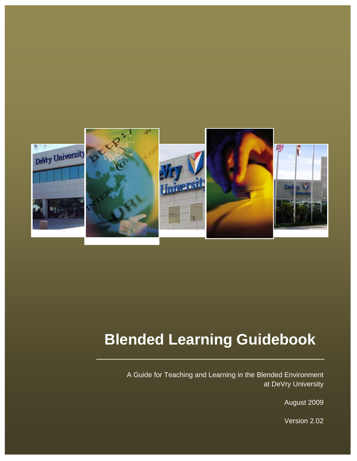

## **Blended Learning Guidebook**

A Guide for Teaching and Learning in the Blended Environment at DeVry University

August 2009

Version 2.02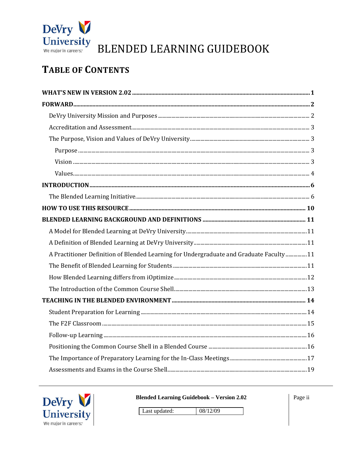

### **TABLE OF CONTENTS**

| A Practitioner Definition of Blended Learning for Undergraduate and Graduate Faculty  11 |  |
|------------------------------------------------------------------------------------------|--|
|                                                                                          |  |
|                                                                                          |  |
|                                                                                          |  |
|                                                                                          |  |
|                                                                                          |  |
|                                                                                          |  |
|                                                                                          |  |
|                                                                                          |  |
|                                                                                          |  |
|                                                                                          |  |



**Blended Learning Guidebook - Version 2.02** 

Page ii

08/12/09 Last updated: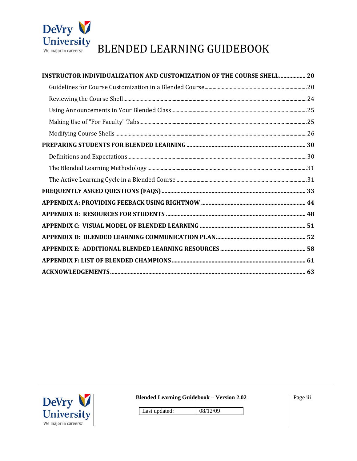

| INSTRUCTOR INDIVIDUALIZATION AND CUSTOMIZATION OF THE COURSE SHELL 20 |  |
|-----------------------------------------------------------------------|--|
|                                                                       |  |
|                                                                       |  |
|                                                                       |  |
|                                                                       |  |
|                                                                       |  |
|                                                                       |  |
|                                                                       |  |
|                                                                       |  |
|                                                                       |  |
|                                                                       |  |
|                                                                       |  |
|                                                                       |  |
|                                                                       |  |
|                                                                       |  |
|                                                                       |  |
|                                                                       |  |
|                                                                       |  |



**Blended Learning Guidebook - Version 2.02** 

08/12/09

Page iii

Last updated: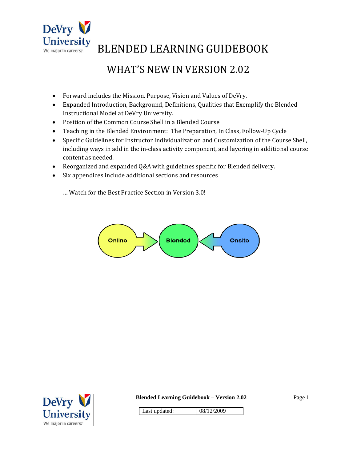

### WHAT'S NEW IN VERSION 2.02

- Forward includes the Mission, Purpose, Vision and Values of DeVry.
- Expanded Introduction, Background, Definitions, Qualities that Exemplify the Blended Instructional Model at DeVry University.
- Position of the Common Course Shell in a Blended Course
- Teaching in the Blended Environment: The Preparation, In Class, Follow‐Up Cycle
- Specific Guidelines for Instructor Individualization and Customization of the Course Shell, including ways in add in the in‐class activity component, and layering in additional course content as needed.
- Reorganized and expanded Q&A with guidelines specific for Blended delivery.
- Six appendices include additional sections and resources
	- … Watch for the Best Practice Section in Version 3.0!



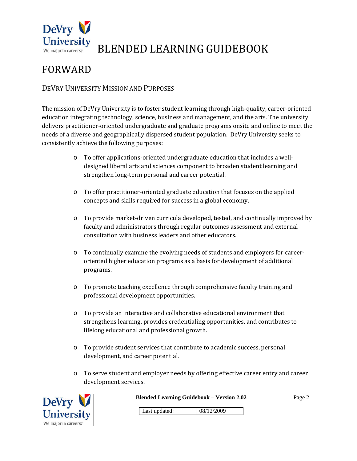

### FORWARD

#### DEVRY UNIVERSITY MISSION AND PURPOSES

The mission of DeVry University is to foster student learning through high-quality, career-oriented education integrating technology, science, business and management, and the arts. The university delivers practitioner‐oriented undergraduate and graduate programs onsite and online to meet the needs of a diverse and geographically dispersed student population. DeVry University seeks to consistently achieve the following purposes:

- o To offer applications‐oriented undergraduate education that includes a well‐ designed liberal arts and sciences component to broaden student learning and strengthen long‐term personal and career potential.
- o To offer practitioner‐oriented graduate education that focuses on the applied concepts and skills required for success in a global economy.
- o To provide market‐driven curricula developed, tested, and continually improved by faculty and administrators through regular outcomes assessment and external consultation with business leaders and other educators.
- o To continually examine the evolving needs of students and employers for career‐ oriented higher education programs as a basis for development of additional programs.
- o To promote teaching excellence through comprehensive faculty training and professional development opportunities.
- o To provide an interactive and collaborative educational environment that strengthens learning, provides credentialing opportunities, and contributes to lifelong educational and professional growth.
- o To provide student services that contribute to academic success, personal development, and career potential.
- o To serve student and employer needs by offering effective career entry and career development services.



**Blended Learning Guidebook – Version 2.02**  Last updated: 08/12/2009 Page 2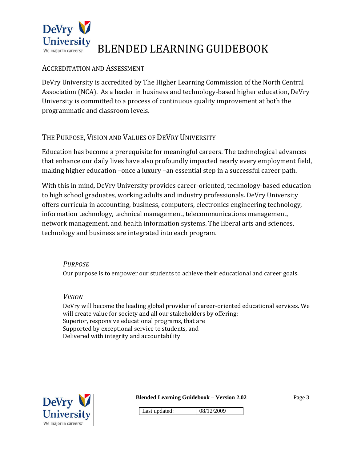

#### ACCREDITATION AND ASSESSMENT

DeVry University is accredited by The Higher Learning Commission of the North Central Association (NCA). As a leader in business and technology‐based higher education, DeVry University is committed to a process of continuous quality improvement at both the programmatic and classroom levels.

#### THE PURPOSE, VISION AND VALUES OF DEVRY UNIVERSITY

Education has become a prerequisite for meaningful careers. The technological advances that enhance our daily lives have also profoundly impacted nearly every employment field, making higher education –once a luxury –an essential step in a successful career path.

With this in mind, DeVry University provides career-oriented, technology-based education to high school graduates, working adults and industry professionals. DeVry University offers curricula in accounting, business, computers, electronics engineering technology, information technology, technical management, telecommunications management, network management, and health information systems. The liberal arts and sciences, technology and business are integrated into each program.

#### *PURPOSE*

Our purpose is to empower our students to achieve their educational and career goals.

#### *VISION*

DeVry will become the leading global provider of career‐oriented educational services. We will create value for society and all our stakeholders by offering: Superior, responsive educational programs, that are Supported by exceptional service to students, and Delivered with integrity and accountability



**Blended Learning Guidebook – Version 2.02** 

Page 3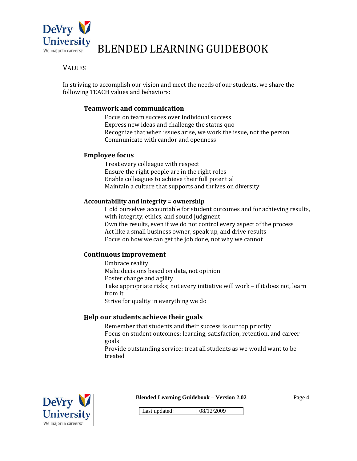

#### **VALUES**

In striving to accomplish our vision and meet the needs of our students, we share the following TEACH values and behaviors:

#### **Teamwork and communication**

Focus on team success over individual success Express new ideas and challenge the status quo Recognize that when issues arise, we work the issue, not the person Communicate with candor and openness

#### **Employee focus**

Treat every colleague with respect Ensure the right people are in the right roles Enable colleagues to achieve their full potential Maintain a culture that supports and thrives on diversity

#### **Accountability and integrity = ownership**

Hold ourselves accountable for student outcomes and for achieving results, with integrity, ethics, and sound judgment Own the results, even if we do not control every aspect of the process Act like a small business owner, speak up, and drive results Focus on how we can get the job done, not why we cannot

#### **Continuous improvement**

Embrace reality Make decisions based on data, not opinion Foster change and agility Take appropriate risks; not every initiative will work – if it does not, learn from it Strive for quality in everything we do

#### **Help our students achieve their goals**

Remember that students and their success is our top priority Focus on student outcomes: learning, satisfaction, retention, and career goals Provide outstanding service: treat all students as we would want to be treated



**Blended Learning Guidebook – Version 2.02** 

Page 4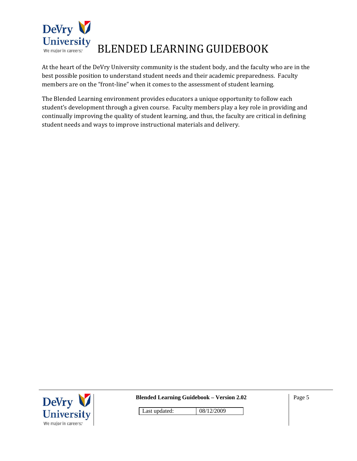

At the heart of the DeVry University community is the student body, and the faculty who are in the best possible position to understand student needs and their academic preparedness. Faculty members are on the "front-line" when it comes to the assessment of student learning.

The Blended Learning environment provides educators a unique opportunity to follow each student's development through a given course. Faculty members play a key role in providing and continually improving the quality of student learning, and thus, the faculty are critical in defining student needs and ways to improve instructional materials and delivery.



**Blended Learning Guidebook – Version 2.02**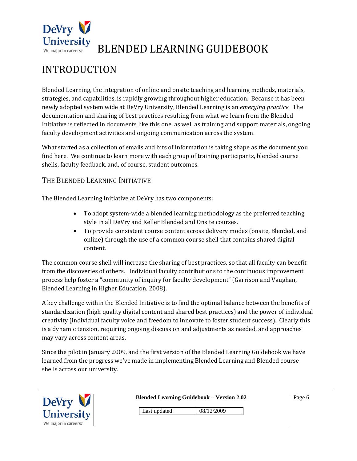

### INTRODUCTION

Blended Learning, the integration of online and onsite teaching and learning methods, materials, strategies, and capabilities, is rapidly growing throughout higher education. Because it has been newly adopted system wide at DeVry University, Blended Learning is an *emerging practice.* The documentation and sharing of best practices resulting from what we learn from the Blended Initiative is reflected in documents like this one, as well as training and support materials, ongoing faculty development activities and ongoing communication across the system.

What started as a collection of emails and bits of information is taking shape as the document you find here. We continue to learn more with each group of training participants, blended course shells, faculty feedback, and, of course, student outcomes.

#### THE BLENDED LEARNING INITIATIVE

The Blended Learning Initiative at DeVry has two components:

- To adopt system-wide a blended learning methodology as the preferred teaching style in all DeVry and Keller Blended and Onsite courses.
- To provide consistent course content across delivery modes (onsite, Blended, and online) through the use of a common course shell that contains shared digital content.

The common course shell will increase the sharing of best practices, so that all faculty can benefit from the discoveries of others. Individual faculty contributions to the continuous improvement process help foster a "community of inquiry for faculty development" (Garrison and Vaughan, Blended Learning in Higher Education, 2008).

A key challenge within the Blended Initiative is to find the optimal balance between the benefits of standardization (high quality digital content and shared best practices) and the power of individual creativity (individual faculty voice and freedom to innovate to foster student success). Clearly this is a dynamic tension, requiring ongoing discussion and adjustments as needed, and approaches may vary across content areas.

Since the pilot in January 2009, and the first version of the Blended Learning Guidebook we have learned from the progress we've made in implementing Blended Learning and Blended course shells across our university.

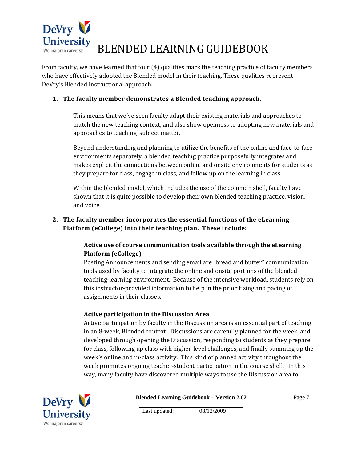

From faculty, we have learned that four (4) qualities mark the teaching practice of faculty members who have effectively adopted the Blended model in their teaching. These qualities represent DeVry's Blended Instructional approach:

#### **1. The faculty member demonstrates a Blended teaching approach.**

This means that we've seen faculty adapt their existing materials and approaches to match the new teaching context, and also show openness to adopting new materials and approaches to teaching subject matter.

Beyond understanding and planning to utilize the benefits of the online and face‐to‐face environments separately, a blended teaching practice purposefully integrates and makes explicit the connections between online and onsite environments for students as they prepare for class, engage in class, and follow up on the learning in class.

Within the blended model, which includes the use of the common shell, faculty have shown that it is quite possible to develop their own blended teaching practice, vision, and voice.

#### **2. The faculty member incorporates the essential functions of the eLearning Platform (eCollege) into their teaching plan. These include:**

#### **Active use of course communication tools available through the eLearning Platform (eCollege)**

Posting Announcements and sending email are "bread and butter" communication tools used by faculty to integrate the online and onsite portions of the blended teaching‐learning environment. Because of the intensive workload, students rely on this instructor‐provided information to help in the prioritizing and pacing of assignments in their classes.

#### **Active participation in the Discussion Area**

Active participation by faculty in the Discussion area is an essential part of teaching in an 8‐week, Blended context. Discussions are carefully planned for the week, and developed through opening the Discussion, responding to students as they prepare for class, following up class with higher‐level challenges, and finally summing up the week's online and in-class activity. This kind of planned activity throughout the week promotes ongoing teacher-student participation in the course shell. In this way, many faculty have discovered multiple ways to use the Discussion area to



**Blended Learning Guidebook – Version 2.02**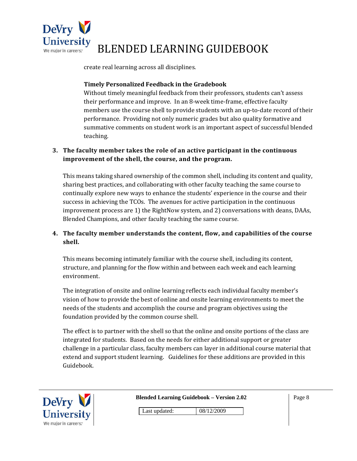

create real learning across all disciplines.

#### **Timely Personalized Feedback in the Gradebook**

Without timely meaningful feedback from their professors, students can't assess their performance and improve. In an 8‐week time‐frame, effective faculty members use the course shell to provide students with an up-to-date record of their performance. Providing not only numeric grades but also quality formative and summative comments on student work is an important aspect of successful blended teaching.

#### **3. The faculty member takes the role of an active participant in the continuous improvement of the shell, the course, and the program.**

This means taking shared ownership of the common shell, including its content and quality, sharing best practices, and collaborating with other faculty teaching the same course to continually explore new ways to enhance the students' experience in the course and their success in achieving the TCOs. The avenues for active participation in the continuous improvement process are 1) the RightNow system, and 2) conversations with deans, DAAs, Blended Champions, and other faculty teaching the same course.

#### **4. The faculty member understands the content, flow, and capabilities of the course shell.**

This means becoming intimately familiar with the course shell, including its content, structure, and planning for the flow within and between each week and each learning environment.

The integration of onsite and online learning reflects each individual faculty member's vision of how to provide the best of online and onsite learning environments to meet the needs of the students and accomplish the course and program objectives using the foundation provided by the common course shell.

The effect is to partner with the shell so that the online and onsite portions of the class are integrated for students. Based on the needs for either additional support or greater challenge in a particular class, faculty members can layer in additional course material that extend and support student learning. Guidelines for these additions are provided in this Guidebook.



|  |  | <b>Blended Learning Guidebook – Version 2.02</b> |  |  |
|--|--|--------------------------------------------------|--|--|
|--|--|--------------------------------------------------|--|--|

Page 8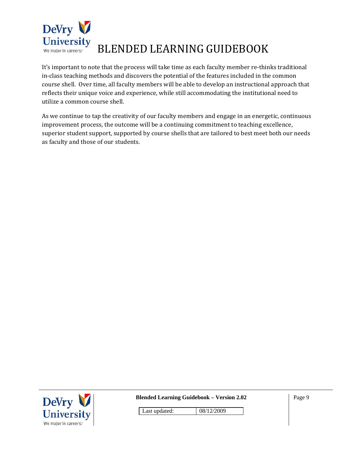

It's important to note that the process will take time as each faculty member re-thinks traditional in-class teaching methods and discovers the potential of the features included in the common course shell. Over time, all faculty members will be able to develop an instructional approach that reflects their unique voice and experience, while still accommodating the institutional need to utilize a common course shell.

As we continue to tap the creativity of our faculty members and engage in an energetic, continuous improvement process, the outcome will be a continuing commitment to teaching excellence, superior student support, supported by course shells that are tailored to best meet both our needs as faculty and those of our students.



**Blended Learning Guidebook – Version 2.02**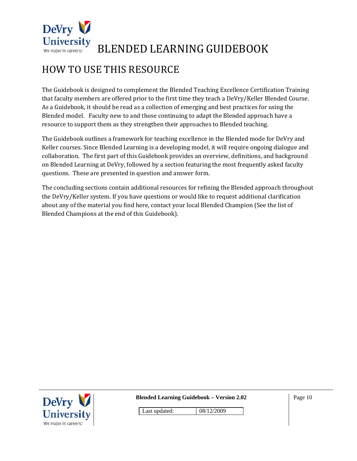

### HOW TO USE THIS RESOURCE

The Guidebook is designed to complement the Blended Teaching Excellence Certification Training that faculty members are offered prior to the first time they teach a DeVry/Keller Blended Course. As a Guidebook, it should be read as a collection of emerging and best practices for using the Blended model. Faculty new to and those continuing to adapt the Blended approach have a resource to support them as they strengthen their approaches to Blended teaching.

The Guidebook outlines a framework for teaching excellence in the Blended mode for DeVry and Keller courses. Since Blended Learning is a developing model, it will require ongoing dialogue and collaboration. The first part of this Guidebook provides an overview, definitions, and background on Blended Learning at DeVry, followed by a section featuring the most frequently asked faculty questions. These are presented in question and answer form.

The concluding sections contain additional resources for refining the Blended approach throughout the DeVry/Keller system. If you have questions or would like to request additional clarification about any of the material you find here, contact your local Blended Champion (See the list of Blended Champions at the end of this Guidebook).



**Blended Learning Guidebook – Version 2.02** 

Page 10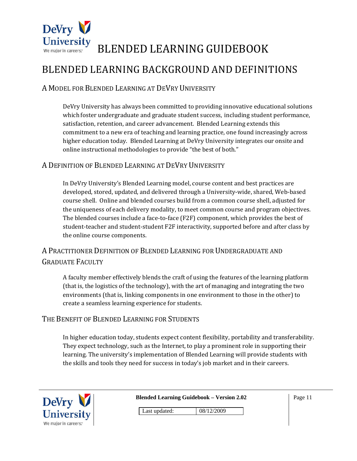

### BLENDED LEARNING BACKGROUND AND DEFINITIONS

#### A MODEL FOR BLENDED LEARNING AT DEVRY UNIVERSITY

DeVry University has always been committed to providing innovative educational solutions which foster undergraduate and graduate student success, including student performance, satisfaction, retention, and career advancement. Blended Learning extends this commitment to a new era of teaching and learning practice, one found increasingly across higher education today. Blended Learning at DeVry University integrates our onsite and online instructional methodologies to provide "the best of both."

#### A DEFINITION OF BLENDED LEARNING AT DEVRY UNIVERSITY

In DeVry University's Blended Learning model, course content and best practices are developed, stored, updated, and delivered through a University‐wide, shared, Web‐based course shell. Online and blended courses build from a common course shell, adjusted for the uniqueness of each delivery modality, to meet common course and program objectives. The blended courses include a face-to-face (F2F) component, which provides the best of student-teacher and student-student F2F interactivity, supported before and after class by the online course components.

#### A PRACTITIONER DEFINITION OF BLENDED LEARNING FOR UNDERGRADUATE AND GRADUATE FACULTY

A faculty member effectively blends the craft of using the features of the learning platform (that is, the logistics of the technology), with the art of managing and integrating the two environments (that is, linking components in one environment to those in the other) to create a seamless learning experience for students.

#### THE BENEFIT OF BLENDED LEARNING FOR STUDENTS

In higher education today, students expect content flexibility, portability and transferability. They expect technology, such as the Internet, to play a prominent role in supporting their learning. The university's implementation of Blended Learning will provide students with the skills and tools they need for success in today's job market and in their careers.

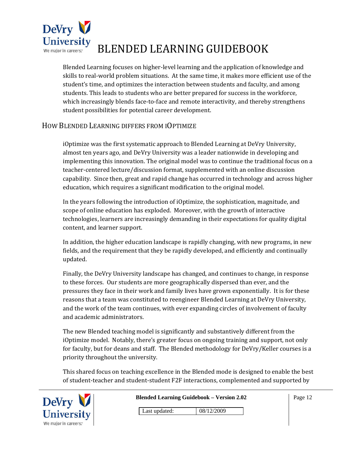

Blended Learning focuses on higher‐level learning and the application of knowledge and skills to real‐world problem situations. At the same time, it makes more efficient use of the student's time, and optimizes the interaction between students and faculty, and among students. This leads to students who are better prepared for success in the workforce, which increasingly blends face-to-face and remote interactivity, and thereby strengthens student possibilities for potential career development.

#### HOW BLENDED LEARNING DIFFERS FROM IOPTIMIZE

iOptimize was the first systematic approach to Blended Learning at DeVry University, almost ten years ago, and DeVry University was a leader nationwide in developing and implementing this innovation. The original model was to continue the traditional focus on a teacher‐centered lecture/discussion format, supplemented with an online discussion capability. Since then, great and rapid change has occurred in technology and across higher education, which requires a significant modification to the original model.

In the years following the introduction of iOptimize, the sophistication, magnitude, and scope of online education has exploded. Moreover, with the growth of interactive technologies, learners are increasingly demanding in their expectations for quality digital content, and learner support.

In addition, the higher education landscape is rapidly changing, with new programs, in new fields, and the requirement that they be rapidly developed, and efficiently and continually updated.

Finally, the DeVry University landscape has changed, and continues to change, in response to these forces. Our students are more geographically dispersed than ever, and the pressures they face in their work and family lives have grown exponentially. It is for these reasons that a team was constituted to reengineer Blended Learning at DeVry University, and the work of the team continues, with ever expanding circles of involvement of faculty and academic administrators.

The new Blended teaching model is significantly and substantively different from the iOptimize model. Notably, there's greater focus on ongoing training and support, not only for faculty, but for deans and staff. The Blended methodology for DeVry/Keller courses is a priority throughout the university.

This shared focus on teaching excellence in the Blended mode is designed to enable the best of student‐teacher and student‐student F2F interactions, complemented and supported by



| <b>Blended Learning Guidebook – Version 2.02</b> |               |            |  |
|--------------------------------------------------|---------------|------------|--|
|                                                  | Last updated: | 08/12/2009 |  |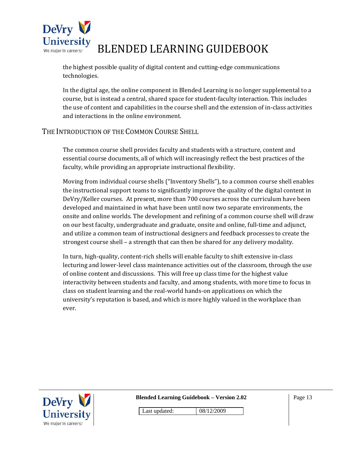

the highest possible quality of digital content and cutting-edge communications technologies.

In the digital age, the online component in Blended Learning is no longer supplemental to a course, but is instead a central, shared space for student‐faculty interaction. This includes the use of content and capabilities in the course shell and the extension of in‐class activities and interactions in the online environment.

#### THE INTRODUCTION OF THE COMMON COURSE SHELL

The common course shell provides faculty and students with a structure, content and essential course documents, all of which will increasingly reflect the best practices of the faculty, while providing an appropriate instructional flexibility.

Moving from individual course shells ("Inventory Shells"), to a common course shell enables the instructional support teams to significantly improve the quality of the digital content in DeVry/Keller courses. At present, more than 700 courses across the curriculum have been developed and maintained in what have been until now two separate environments, the onsite and online worlds. The development and refining of a common course shell will draw on our best faculty, undergraduate and graduate, onsite and online, full‐time and adjunct, and utilize a common team of instructional designers and feedback processes to create the strongest course shell – a strength that can then be shared for any delivery modality.

In turn, high‐quality, content‐rich shells will enable faculty to shift extensive in‐class lecturing and lower-level class maintenance activities out of the classroom, through the use of online content and discussions. This will free up class time for the highest value interactivity between students and faculty, and among students, with more time to focus in class on student learning and the real‐world hands‐on applications on which the university's reputation is based, and which is more highly valued in the workplace than ever.



**Blended Learning Guidebook – Version 2.02** 

Page 13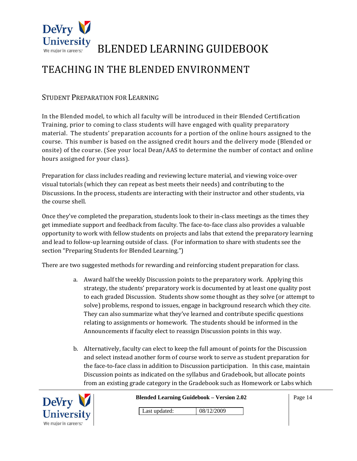

### TEACHING IN THE BLENDED ENVIRONMENT

#### STUDENT PREPARATION FOR LEARNING

In the Blended model, to which all faculty will be introduced in their Blended Certification Training, prior to coming to class students will have engaged with quality preparatory material. The students' preparation accounts for a portion of the online hours assigned to the course. This number is based on the assigned credit hours and the delivery mode (Blended or onsite) of the course. (See your local Dean/AAS to determine the number of contact and online hours assigned for your class).

Preparation for class includes reading and reviewing lecture material, and viewing voice‐over visual tutorials (which they can repeat as best meets their needs) and contributing to the Discussions. In the process, students are interacting with their instructor and other students, via the course shell.

Once they've completed the preparation, students look to their in‐class meetings as the times they get immediate support and feedback from faculty. The face‐to‐face class also provides a valuable opportunity to work with fellow students on projects and labs that extend the preparatory learning and lead to follow‐up learning outside of class. (For information to share with students see the section "Preparing Students for Blended Learning.")

There are two suggested methods for rewarding and reinforcing student preparation for class.

- a. Award half the weekly Discussion points to the preparatory work. Applying this strategy, the students' preparatory work is documented by at least one quality post to each graded Discussion. Students show some thought as they solve (or attempt to solve) problems, respond to issues, engage in background research which they cite. They can also summarize what they've learned and contribute specific questions relating to assignments or homework. The students should be informed in the Announcements if faculty elect to reassign Discussion points in this way.
- b. Alternatively, faculty can elect to keep the full amount of points for the Discussion and select instead another form of course work to serve as student preparation for the face‐to‐face class in addition to Discussion participation. In this case, maintain Discussion points as indicated on the syllabus and Gradebook, but allocate points from an existing grade category in the Gradebook such as Homework or Labs which



**Blended Learning Guidebook – Version 2.02**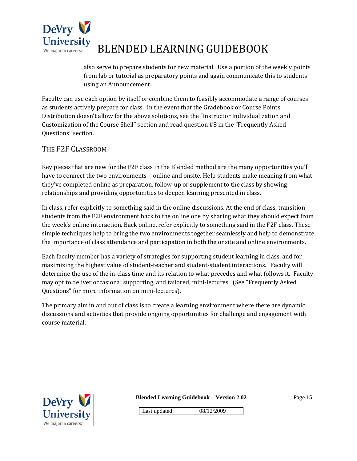

also serve to prepare students for new material. Use a portion of the weekly points from lab or tutorial as preparatory points and again communicate this to students using an Announcement.

Faculty can use each option by itself or combine them to feasibly accommodate a range of courses as students actively prepare for class. In the event that the Gradebook or Course Points Distribution doesn't allow for the above solutions, see the "Instructor Individualization and Customization of the Course Shell" section and read question #8 in the "Frequently Asked Questions" section.

#### THE F2F CLASSROOM

Key pieces that are new for the F2F class in the Blended method are the many opportunities you'll have to connect the two environments—online and onsite. Help students make meaning from what they've completed online as preparation, follow‐up or supplement to the class by showing relationships and providing opportunities to deepen learning presented in class.

In class, refer explicitly to something said in the online discussions. At the end of class, transition students from the F2F environment back to the online one by sharing what they should expect from the week's online interaction. Back online, refer explicitly to something said in the F2F class. These simple techniques help to bring the two environments together seamlessly and help to demonstrate the importance of class attendance and participation in both the onsite and online environments.

Each faculty member has a variety of strategies for supporting student learning in class, and for maximizing the highest value of student-teacher and student-student interactions. Faculty will determine the use of the in-class time and its relation to what precedes and what follows it. Faculty may opt to deliver occasional supporting, and tailored, mini‐lectures. (See "Frequently Asked Questions" for more information on mini‐lectures).

The primary aim in and out of class is to create a learning environment where there are dynamic discussions and activities that provide ongoing opportunities for challenge and engagement with course material.



**Blended Learning Guidebook – Version 2.02**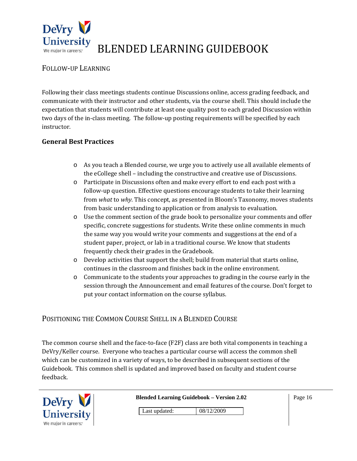

#### FOLLOW‐UP LEARNING

Following their class meetings students continue Discussions online, access grading feedback, and communicate with their instructor and other students, via the course shell. This should include the expectation that students will contribute at least one quality post to each graded Discussion within two days of the in-class meeting. The follow-up posting requirements will be specified by each instructor.

#### **General Best Practices**

- o As you teach a Blended course, we urge you to actively use all available elements of the eCollege shell – including the constructive and creative use of Discussions.
- o Participate in Discussions often and make every effort to end each post with a follow-up question. Effective questions encourage students to take their learning from *what* to *why.* This concept, as presented in Bloom's Taxonomy, moves students from basic understanding to application or from analysis to evaluation.
- $\circ$  Use the comment section of the grade book to personalize your comments and offer specific, concrete suggestions for students. Write these online comments in much the same way you would write your comments and suggestions at the end of a student paper, project, or lab in a traditional course. We know that students frequently check their grades in the Gradebook.
- o Develop activities that support the shell; build from material that starts online, continues in the classroom and finishes back in the online environment.
- o Communicate to the students your approaches to grading in the course early in the session through the Announcement and email features of the course. Don't forget to put your contact information on the course syllabus.

#### POSITIONING THE COMMON COURSE SHELL IN A BLENDED COURSE

The common course shell and the face-to-face (F2F) class are both vital components in teaching a DeVry/Keller course. Everyone who teaches a particular course will access the common shell which can be customized in a variety of ways, to be described in subsequent sections of the Guidebook. This common shell is updated and improved based on faculty and student course feedback.



**Blended Learning Guidebook – Version 2.02**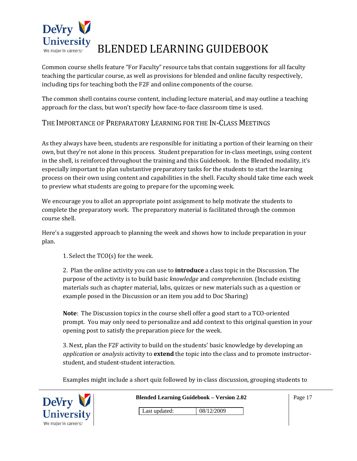

Common course shells feature "For Faculty" resource tabs that contain suggestions for all faculty teaching the particular course, as well as provisions for blended and online faculty respectively, including tips for teaching both the F2F and online components of the course.

The common shell contains course content, including lecture material, and may outline a teaching approach for the class, but won't specify how face‐to‐face classroom time is used.

#### THE IMPORTANCE OF PREPARATORY LEARNING FOR THE IN‐CLASS MEETINGS

As they always have been, students are responsible for initiating a portion of their learning on their own, but they're not alone in this process. Student preparation for in‐class meetings, using content in the shell, is reinforced throughout the training and this Guidebook. In the Blended modality, it's especially important to plan substantive preparatory tasks for the students to start the learning process on their own using content and capabilities in the shell. Faculty should take time each week to preview what students are going to prepare for the upcoming week.

We encourage you to allot an appropriate point assignment to help motivate the students to complete the preparatory work. The preparatory material is facilitated through the common course shell.

Here's a suggested approach to planning the week and shows how to include preparation in your plan.

1. Select the TCO(s) for the week.

2. Plan the online activity you can use to **introduce** a class topic in the Discussion. The purpose of the activity is to build basic *knowledge* and *comprehension.* (Include existing materials such as chapter material, labs, quizzes or new materials such as a question or example posed in the Discussion or an item you add to Doc Sharing)

**Note**: The Discussion topics in the course shell offer a good start to a TCO-oriented prompt. You may only need to personalize and add context to this original question in your opening post to satisfy the preparation piece for the week.

3. Next, plan the F2F activity to build on the students' basic knowledge by developing an *application* or *analysis* activity to **extend** the topic into the class and to promote instructor‐ student, and student‐student interaction.

Examples might include a short quiz followed by in‐class discussion, grouping students to



**Blended Learning Guidebook – Version 2.02**  Last updated: 08/12/2009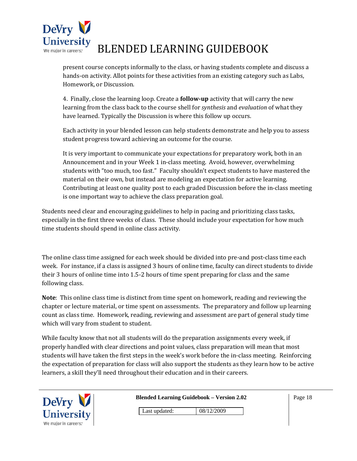

present course concepts informally to the class, or having students complete and discuss a hands‐on activity. Allot points for these activities from an existing category such as Labs, Homework, or Discussion.

4. Finally, close the learning loop. Create a **followup** activity that will carry the new learning from the class back to the course shell for *synthesis* and *evaluation* of what they have learned. Typically the Discussion is where this follow up occurs.

Each activity in your blended lesson can help students demonstrate and help you to assess student progress toward achieving an outcome for the course.

It is very important to communicate your expectations for preparatory work, both in an Announcement and in your Week 1 in‐class meeting. Avoid, however, overwhelming students with "too much, too fast." Faculty shouldn't expect students to have mastered the material on their own, but instead are modeling an expectation for active learning. Contributing at least one quality post to each graded Discussion before the in‐class meeting is one important way to achieve the class preparation goal.

Students need clear and encouraging guidelines to help in pacing and prioritizing class tasks, especially in the first three weeks of class. These should include your expectation for how much time students should spend in online class activity.

The online class time assigned for each week should be divided into pre-and post-class time each week. For instance, if a class is assigned 3 hours of online time, faculty can direct students to divide their 3 hours of online time into 1.5‐2 hours of time spent preparing for class and the same following class.

**Note**: This online class time is distinct from time spent on homework, reading and reviewing the chapter or lecture material, or time spent on assessments. The preparatory and follow up learning count as class time. Homework, reading, reviewing and assessment are part of general study time which will vary from student to student.

While faculty know that not all students will do the preparation assignments every week, if properly handled with clear directions and point values, class preparation will mean that most students will have taken the first steps in the week's work before the in‐class meeting. Reinforcing the expectation of preparation for class will also support the students as they learn how to be active learners, a skill they'll need throughout their education and in their careers.

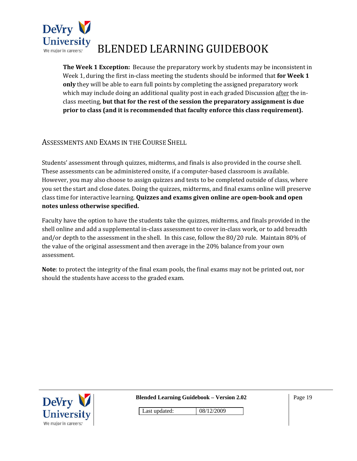

**The Week 1 Exception:** Because the preparatory work by students may be inconsistent in Week 1, during the first in‐class meeting the students should be informed that **for Week 1 only** they will be able to earn full points by completing the assigned preparatory work which may include doing an additional quality post in each graded Discussion after the inclass meeting, **but that for the rest of the session the preparatory assignment is due prior to class (and it is recommended that faculty enforce this class requirement).** 

#### ASSESSMENTS AND EXAMS IN THE COURSE SHELL

Students' assessment through quizzes, midterms, and finals is also provided in the course shell. These assessments can be administered onsite, if a computer‐based classroom is available. However, you may also choose to assign quizzes and tests to be completed outside of class, where you set the start and close dates. Doing the quizzes, midterms, and final exams online will preserve class time for interactive learning. **Quizzes and exams given online are openbook and open notes unless otherwise specified.**

Faculty have the option to have the students take the quizzes, midterms, and finals provided in the shell online and add a supplemental in‐class assessment to cover in‐class work, or to add breadth and/or depth to the assessment in the shell. In this case, follow the 80/20 rule. Maintain 80% of the value of the original assessment and then average in the 20% balance from your own assessment.

**Note**: to protect the integrity of the final exam pools, the final exams may not be printed out, nor should the students have access to the graded exam.



**Blended Learning Guidebook – Version 2.02**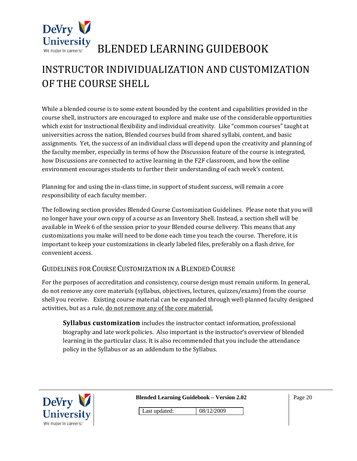

### INSTRUCTOR INDIVIDUALIZATION AND CUSTOMIZATION OF THE COURSE SHELL

While a blended course is to some extent bounded by the content and capabilities provided in the course shell, instructors are encouraged to explore and make use of the considerable opportunities which exist for instructional flexibility and individual creativity. Like "common courses" taught at universities across the nation, Blended courses build from shared syllabi, content, and basic assignments. Yet, the success of an individual class will depend upon the creativity and planning of the faculty member, especially in terms of how the Discussion feature of the course is integrated, how Discussions are connected to active learning in the F2F classroom, and how the online environment encourages students to further their understanding of each week's content.

Planning for and using the in‐class time, in support of student success, will remain a core responsibility of each faculty member.

The following section provides Blended Course Customization Guidelines. Please note that you will no longer have your own copy of a course as an Inventory Shell. Instead, a section shell will be available in Week 6 of the session prior to your Blended course delivery. This means that any customizations you make will need to be done each time you teach the course. Therefore, it is important to keep your customizations in clearly labeled files, preferably on a flash drive, for convenient access.

#### GUIDELINES FOR COURSE CUSTOMIZATION IN A BLENDED COURSE

For the purposes of accreditation and consistency, course design must remain uniform. In general, do not remove any core materials (syllabus, objectives, lectures, quizzes/exams) from the course shell you receive. Existing course material can be expanded through well-planned faculty designed activities, but as a rule, do not remove any of the core material.

**Syllabus customization** includes the instructor contact information, professional biography and late work policies. Also important is the instructor's overview of blended learning in the particular class. It is also recommended that you include the attendance policy in the Syllabus or as an addendum to the Syllabus.



**Blended Learning Guidebook – Version 2.02**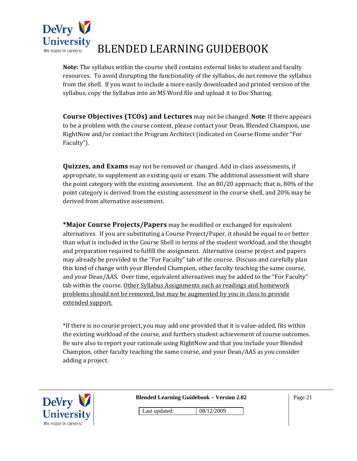

**Note:** The syllabus within the course shell contains external links to student and faculty resources. To avoid disrupting the functionality of the syllabus, do not remove the syllabus from the shell. If you want to include a more easily downloaded and printed version of the syllabus, copy the Syllabus into an MS Word file and upload it to Doc Sharing.

**Course Objectives (TCOs) and Lectures** may not be changed. **Note**: If there appears to be a problem with the course content, please contact your Dean, Blended Champion, use RightNow and/or contact the Program Architect (indicated on Course Home under "For Faculty").

**Quizzes, and Exams** may not be removed or changed. Add in‐class assessments, if appropriate, to supplement an existing quiz or exam. The additional assessment will share the point category with the existing assessment. Use an 80/20 approach; that is, 80% of the point category is derived from the existing assessment in the course shell, and 20% may be derived from alternative assessment.

**\*Major Course Projects/Papers** may be modified or exchanged for equivalent alternatives. If you are substituting a Course Project/Paper, it should be equal to or better than what is included in the Course Shell in terms of the student workload, and the thought and preparation required to fulfill the assignment. Alternative course project and papers may already be provided in the "For Faculty" tab of the course. Discuss and carefully plan this kind of change with your Blended Champion, other faculty teaching the same course, and your Dean/AAS. Over time, equivalent alternatives may be added to the "For Faculty" tab within the course. Other Syllabus Assignments such as readings and homework problems should not be removed, but may be augmented by you in class to provide extended support.

\*If there is no course project, you may add one provided that it is value‐added, fits within the existing workload of the course, and furthers student achievement of course outcomes. Be sure also to report your rationale using RightNow and that you include your Blended Champion, other faculty teaching the same course, and your Dean/AAS as you consider adding a project.



**Blended Learning Guidebook – Version 2.02** 

Page 21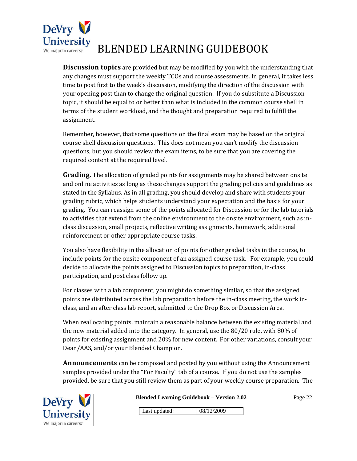

**Discussion topics** are provided but may be modified by you with the understanding that any changes must support the weekly TCOs and course assessments. In general, it takes less time to post first to the week's discussion, modifying the direction of the discussion with your opening post than to change the original question. If you do substitute a Discussion topic, it should be equal to or better than what is included in the common course shell in terms of the student workload, and the thought and preparation required to fulfill the assignment.

Remember, however, that some questions on the final exam may be based on the original course shell discussion questions. This does not mean you can't modify the discussion questions, but you should review the exam items, to be sure that you are covering the required content at the required level.

**Grading.** The allocation of graded points for assignments may be shared between onsite and online activities as long as these changes support the grading policies and guidelines as stated in the Syllabus. As in all grading, you should develop and share with students your grading rubric, which helps students understand your expectation and the basis for your grading. You can reassign some of the points allocated for Discussion or for the lab tutorials to activities that extend from the online environment to the onsite environment, such as in‐ class discussion, small projects, reflective writing assignments, homework, additional reinforcement or other appropriate course tasks.

You also have flexibility in the allocation of points for other graded tasks in the course, to include points for the onsite component of an assigned course task. For example, you could decide to allocate the points assigned to Discussion topics to preparation, in‐class participation, and post class follow up.

For classes with a lab component, you might do something similar, so that the assigned points are distributed across the lab preparation before the in‐class meeting, the work in‐ class, and an after class lab report, submitted to the Drop Box or Discussion Area.

When reallocating points, maintain a reasonable balance between the existing material and the new material added into the category. In general, use the 80/20 rule, with 80% of points for existing assignment and 20% for new content. For other variations, consult your Dean/AAS, and/or your Blended Champion.

**Announcements** can be composed and posted by you without using the Announcement samples provided under the "For Faculty" tab of a course. If you do not use the samples provided, be sure that you still review them as part of your weekly course preparation. The



|  |  |  | <b>Blended Learning Guidebook - Version 2.02</b> |  |
|--|--|--|--------------------------------------------------|--|
|  |  |  |                                                  |  |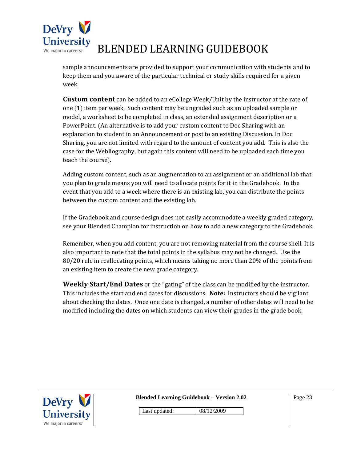

sample announcements are provided to support your communication with students and to keep them and you aware of the particular technical or study skills required for a given week.

**Custom content** can be added to an eCollege Week/Unit by the instructor at the rate of one (1) item per week. Such content may be ungraded such as an uploaded sample or model, a worksheet to be completed in class, an extended assignment description or a PowerPoint. (An alternative is to add your custom content to Doc Sharing with an explanation to student in an Announcement or post to an existing Discussion. In Doc Sharing, you are not limited with regard to the amount of content you add. This is also the case for the Webliography, but again this content will need to be uploaded each time you teach the course).

Adding custom content, such as an augmentation to an assignment or an additional lab that you plan to grade means you will need to allocate points for it in the Gradebook. In the event that you add to a week where there is an existing lab, you can distribute the points between the custom content and the existing lab.

If the Gradebook and course design does not easily accommodate a weekly graded category, see your Blended Champion for instruction on how to add a new category to the Gradebook.

Remember, when you add content, you are not removing material from the course shell. It is also important to note that the total points in the syllabus may not be changed. Use the 80/20 rule in reallocating points, which means taking no more than 20% of the points from an existing item to create the new grade category.

**Weekly Start/End Dates** or the "gating" of the class can be modified by the instructor. This includes the start and end dates for discussions. **Note:** Instructors should be vigilant about checking the dates. Once one date is changed, a number of other dates will need to be modified including the dates on which students can view their grades in the grade book.



**Blended Learning Guidebook – Version 2.02** 

Page 23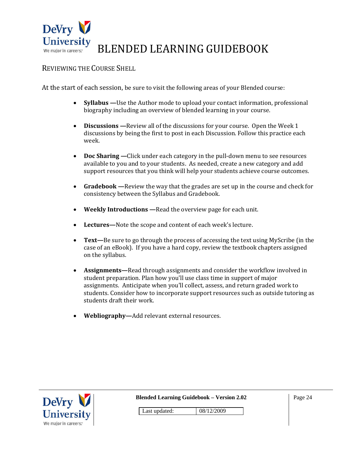

#### REVIEWING THE COURSE SHELL

At the start of each session, be sure to visit the following areas of your Blended course:

- **Syllabus —**Use the Author mode to upload your contact information, professional biography including an overview of blended learning in your course.
- **Discussions** Review all of the discussions for your course. Open the Week 1 discussions by being the first to post in each Discussion. Follow this practice each week.
- **Doc Sharing** —Click under each category in the pull-down menu to see resources available to you and to your students. As needed, create a new category and add support resources that you think will help your students achieve course outcomes.
- **Gradebook —**Review the way that the grades are set up in the course and check for consistency between the Syllabus and Gradebook.
- **Weekly Introductions —**Read the overview page for each unit.
- **Lectures—**Note the scope and content of each week's lecture.
- **Text—**Be sure to go through the process of accessing the text using MyScribe (in the case of an eBook). If you have a hard copy, review the textbook chapters assigned on the syllabus.
- **Assignments—**Read through assignments and consider the workflow involved in student preparation. Plan how you'll use class time in support of major assignments. Anticipate when you'll collect, assess, and return graded work to students. Consider how to incorporate support resources such as outside tutoring as students draft their work.
- **Webliography—**Add relevant external resources.



**Blended Learning Guidebook – Version 2.02** 

Page 24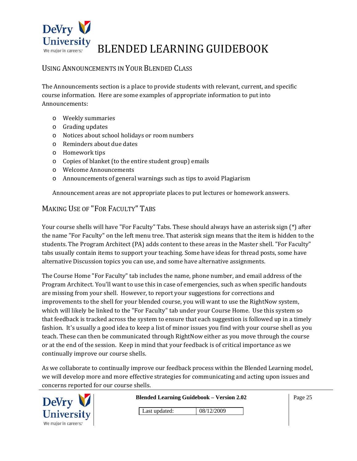

#### USING ANNOUNCEMENTS IN YOUR BLENDED CLASS

The Announcements section is a place to provide students with relevant, current, and specific course information. Here are some examples of appropriate information to put into Announcements:

- o Weekly summaries
- o Grading updates
- o Notices about school holidays or room numbers
- o Reminders about due dates
- o Homework tips
- o Copies of blanket (to the entire student group) emails
- o Welcome Announcements
- o Announcements of general warnings such as tips to avoid Plagiarism

Announcement areas are not appropriate places to put lectures or homework answers.

#### MAKING USE OF "FOR FACULTY" TABS

Your course shells will have "For Faculty" Tabs. These should always have an asterisk sign (\*) after the name "For Faculty" on the left menu tree. That asterisk sign means that the item is hidden to the students. The Program Architect (PA) adds content to these areas in the Master shell. "For Faculty" tabs usually contain items to support your teaching. Some have ideas for thread posts, some have alternative Discussion topics you can use, and some have alternative assignments.

The Course Home "For Faculty" tab includes the name, phone number, and email address of the Program Architect. You'll want to use this in case of emergencies, such as when specific handouts are missing from your shell. However, to report your suggestions for corrections and improvements to the shell for your blended course, you will want to use the RightNow system, which will likely be linked to the "For Faculty" tab under your Course Home. Use this system so that feedback is tracked across the system to ensure that each suggestion is followed up in a timely fashion. It's usually a good idea to keep a list of minor issues you find with your course shell as you teach. These can then be communicated through RightNow either as you move through the course or at the end of the session. Keep in mind that your feedback is of critical importance as we continually improve our course shells.

As we collaborate to continually improve our feedback process within the Blended Learning model, we will develop more and more effective strategies for communicating and acting upon issues and concerns reported for our course shells.



**Blended Learning Guidebook – Version 2.02**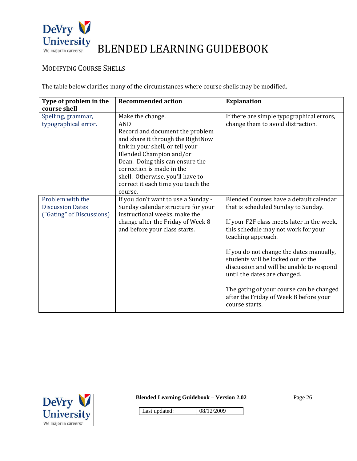

#### MODIFYING COURSE SHELLS

The table below clarifies many of the circumstances where course shells may be modified.

| Type of problem in the<br>course shell                                   | <b>Recommended action</b>                                                                                                                                                                                                                                                                                                  | <b>Explanation</b>                                                                                                                                                                                                                                                                                                                                                                                                                                              |
|--------------------------------------------------------------------------|----------------------------------------------------------------------------------------------------------------------------------------------------------------------------------------------------------------------------------------------------------------------------------------------------------------------------|-----------------------------------------------------------------------------------------------------------------------------------------------------------------------------------------------------------------------------------------------------------------------------------------------------------------------------------------------------------------------------------------------------------------------------------------------------------------|
| Spelling, grammar,<br>typographical error.                               | Make the change.<br><b>AND</b><br>Record and document the problem<br>and share it through the RightNow<br>link in your shell, or tell your<br>Blended Champion and/or<br>Dean. Doing this can ensure the<br>correction is made in the<br>shell. Otherwise, you'll have to<br>correct it each time you teach the<br>course. | If there are simple typographical errors,<br>change them to avoid distraction.                                                                                                                                                                                                                                                                                                                                                                                  |
| Problem with the<br><b>Discussion Dates</b><br>("Gating" of Discussions) | If you don't want to use a Sunday -<br>Sunday calendar structure for your<br>instructional weeks, make the<br>change after the Friday of Week 8<br>and before your class starts.                                                                                                                                           | Blended Courses have a default calendar<br>that is scheduled Sunday to Sunday.<br>If your F2F class meets later in the week,<br>this schedule may not work for your<br>teaching approach.<br>If you do not change the dates manually,<br>students will be locked out of the<br>discussion and will be unable to respond<br>until the dates are changed.<br>The gating of your course can be changed<br>after the Friday of Week 8 before your<br>course starts. |



**Blended Learning Guidebook – Version 2.02**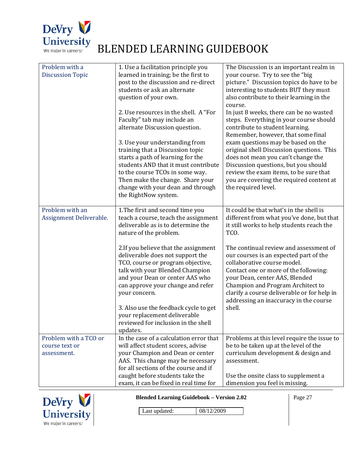

| Problem with a<br><b>Discussion Topic</b>              | 1. Use a facilitation principle you<br>learned in training; be the first to<br>post to the discussion and re-direct<br>students or ask an alternate<br>question of your own.                                                              | The Discussion is an important realm in<br>your course. Try to see the "big<br>picture." Discussion topics do have to be<br>interesting to students BUT they must<br>also contribute to their learning in the<br>course.                                                                                                 |
|--------------------------------------------------------|-------------------------------------------------------------------------------------------------------------------------------------------------------------------------------------------------------------------------------------------|--------------------------------------------------------------------------------------------------------------------------------------------------------------------------------------------------------------------------------------------------------------------------------------------------------------------------|
|                                                        | 2. Use resources in the shell. A "For<br>Faculty" tab may include an<br>alternate Discussion question.<br>3. Use your understanding from<br>training that a Discussion topic<br>starts a path of learning for the                         | In just 8 weeks, there can be no wasted<br>steps. Everything in your course should<br>contribute to student learning.<br>Remember, however, that some final<br>exam questions may be based on the<br>original shell Discussion questions. This<br>does not mean you can't change the                                     |
|                                                        | students AND that it must contribute<br>to the course TCOs in some way.<br>Then make the change. Share your<br>change with your dean and through<br>the RightNow system.                                                                  | Discussion questions, but you should<br>review the exam items, to be sure that<br>you are covering the required content at<br>the required level.                                                                                                                                                                        |
| Problem with an<br>Assignment Deliverable.             | 1. The first and second time you<br>teach a course, teach the assignment<br>deliverable as is to determine the<br>nature of the problem.                                                                                                  | It could be that what's in the shell is<br>different from what you've done, but that<br>it still works to help students reach the<br>TCO.                                                                                                                                                                                |
|                                                        | 2.If you believe that the assignment<br>deliverable does not support the<br>TCO, course or program objective,<br>talk with your Blended Champion<br>and your Dean or center AAS who<br>can approve your change and refer<br>your concern. | The continual review and assessment of<br>our courses is an expected part of the<br>collaborative course model.<br>Contact one or more of the following:<br>your Dean, center AAS, Blended<br>Champion and Program Architect to<br>clarify a course deliverable or for help in<br>addressing an inaccuracy in the course |
|                                                        | 3. Also use the feedback cycle to get<br>your replacement deliverable<br>reviewed for inclusion in the shell<br>updates.                                                                                                                  | shell.                                                                                                                                                                                                                                                                                                                   |
| Problem with a TCO or<br>course text or<br>assessment. | In the case of a calculation error that<br>will affect student scores, advise<br>your Champion and Dean or center<br>AAS. This change may be necessary<br>for all sections of the course and if                                           | Problems at this level require the issue to<br>be to be taken up at the level of the<br>curriculum development & design and<br>assessment.                                                                                                                                                                               |
|                                                        | caught before students take the<br>exam, it can be fixed in real time for                                                                                                                                                                 | Use the onsite class to supplement a<br>dimension you feel is missing.                                                                                                                                                                                                                                                   |



**Blended Learning Guidebook – Version 2.02** 

Page 27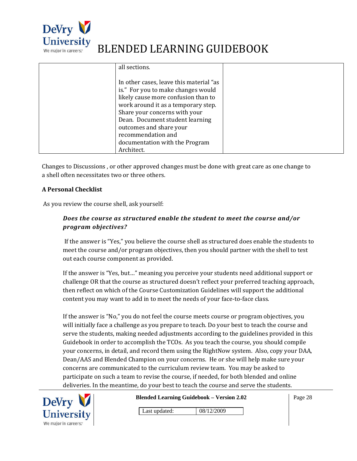

| all sections.                           |  |
|-----------------------------------------|--|
| In other cases, leave this material "as |  |
| is." For you to make changes would      |  |
| likely cause more confusion than to     |  |
| work around it as a temporary step.     |  |
| Share your concerns with your           |  |
| Dean. Document student learning         |  |
| outcomes and share your                 |  |
| recommendation and                      |  |
| documentation with the Program          |  |
| Architect.                              |  |

Changes to Discussions , or other approved changes must be done with great care as one change to a shell often necessitates two or three others.

#### **A Personal Checklist**

As you review the course shell, ask yourself:

#### *Does the course as structured enable the student to meet the course and/or program objectives?*

 If the answer is "Yes," you believe the course shell as structured does enable the students to meet the course and/or program objectives, then you should partner with the shell to test out each course component as provided.

If the answer is "Yes, but…" meaning you perceive your students need additional support or challenge OR that the course as structured doesn't reflect your preferred teaching approach, then reflect on which of the Course Customization Guidelines will support the additional content you may want to add in to meet the needs of your face‐to‐face class.

If the answer is "No," you do not feel the course meets course or program objectives, you will initially face a challenge as you prepare to teach. Do your best to teach the course and serve the students, making needed adjustments according to the guidelines provided in this Guidebook in order to accomplish the TCOs. As you teach the course, you should compile your concerns, in detail, and record them using the RightNow system. Also, copy your DAA, Dean/AAS and Blended Champion on your concerns. He or she will help make sure your concerns are communicated to the curriculum review team. You may be asked to participate on such a team to revise the course, if needed, for both blended and online deliveries. In the meantime, do your best to teach the course and serve the students.



**Blended Learning Guidebook – Version 2.02** 

Page 28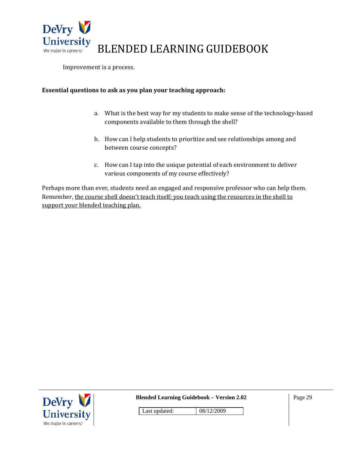

Improvement is a process.

#### **Essential questions to ask as you plan your teaching approach:**

- a. What is the best way for my students to make sense of the technology-based components available to them through the shell?
- b. How can I help students to prioritize and see relationships among and between course concepts?
- c. How can I tap into the unique potential of each environment to deliver various components of my course effectively?

Perhaps more than ever, students need an engaged and responsive professor who can help them. Remember, the course shell doesn't teach itself; you teach using the resources in the shell to support your blended teaching plan.



**Blended Learning Guidebook – Version 2.02** 

Page 29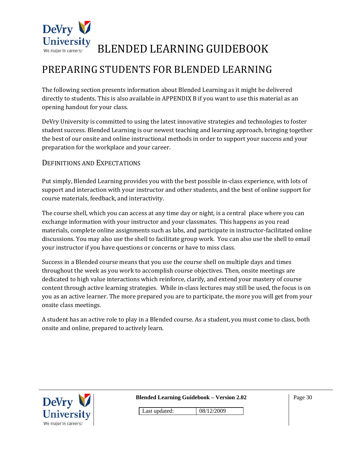

### PREPARING STUDENTS FOR BLENDED LEARNING

The following section presents information about Blended Learning as it might be delivered directly to students. This is also available in APPENDIX B if you want to use this material as an opening handout for your class.

DeVry University is committed to using the latest innovative strategies and technologies to foster student success. Blended Learning is our newest teaching and learning approach, bringing together the best of our onsite and online instructional methods in order to support your success and your preparation for the workplace and your career.

#### DEFINITIONS AND EXPECTATIONS

Put simply, Blended Learning provides you with the best possible in‐class experience, with lots of support and interaction with your instructor and other students, and the best of online support for course materials, feedback, and interactivity.

The course shell, which you can access at any time day or night, is a central place where you can exchange information with your instructor and your classmates. This happens as you read materials, complete online assignments such as labs, and participate in instructor‐facilitated online discussions. You may also use the shell to facilitate group work. You can also use the shell to email your instructor if you have questions or concerns or have to miss class.

Success in a Blended course means that you use the course shell on multiple days and times throughout the week as you work to accomplish course objectives. Then, onsite meetings are dedicated to high value interactions which reinforce, clarify, and extend your mastery of course content through active learning strategies. While in‐class lectures may still be used, the focus is on you as an active learner. The more prepared you are to participate, the more you will get from your onsite class meetings.

A student has an active role to play in a Blended course. As a student, you must come to class, both onsite and online, prepared to actively learn.



**Blended Learning Guidebook – Version 2.02**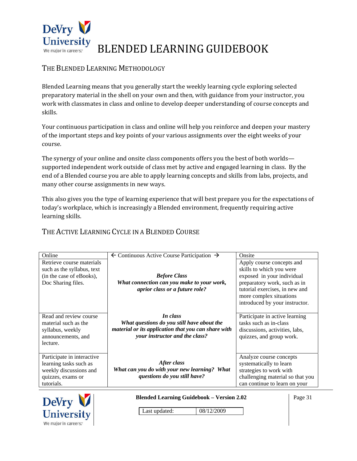

#### THE BLENDED LEARNING METHODOLOGY

Blended Learning means that you generally start the weekly learning cycle exploring selected preparatory material in the shell on your own and then, with guidance from your instructor, you work with classmates in class and online to develop deeper understanding of course concepts and skills.

Your continuous participation in class and online will help you reinforce and deepen your mastery of the important steps and key points of your various assignments over the eight weeks of your course.

The synergy of your online and onsite class components offers you the best of both worlds supported independent work outside of class met by active and engaged learning in class. By the end of a Blended course you are able to apply learning concepts and skills from labs, projects, and many other course assignments in new ways.

This also gives you the type of learning experience that will best prepare you for the expectations of today's workplace, which is increasingly a Blended environment, frequently requiring active learning skills.

#### THE ACTIVE LEARNING CYCLE IN A BLENDED COURSE

| Online                                                                                                            | $\leftarrow$ Continuous Active Course Participation $\rightarrow$                                                                               | Onsite                                                                                                                                             |
|-------------------------------------------------------------------------------------------------------------------|-------------------------------------------------------------------------------------------------------------------------------------------------|----------------------------------------------------------------------------------------------------------------------------------------------------|
| Retrieve course materials<br>such as the syllabus, text<br>(in the case of eBooks),<br>Doc Sharing files.         | <b>Before Class</b><br>What connection can you make to your work,                                                                               | Apply course concepts and<br>skills to which you were<br>exposed in your individual<br>preparatory work, such as in                                |
|                                                                                                                   | aprior class or a future role?                                                                                                                  | tutorial exercises, in new and<br>more complex situations<br>introduced by your instructor.                                                        |
| Read and review course<br>material such as the<br>syllabus, weekly<br>announcements, and<br>lecture.              | In class<br>What questions do you still have about the<br>material or its application that you can share with<br>your instructor and the class? | Participate in active learning<br>tasks such as in-class<br>discussions, activities, labs,<br>quizzes, and group work.                             |
| Participate in interactive<br>learning tasks such as<br>weekly discussions and<br>quizzes, exams or<br>tutorials. | After class<br>What can you do with your new learning? What<br>questions do you still have?                                                     | Analyze course concepts<br>systematically to learn<br>strategies to work with<br>challenging material so that you<br>can continue to learn on your |



**Blended Learning Guidebook – Version 2.02** 

Page 31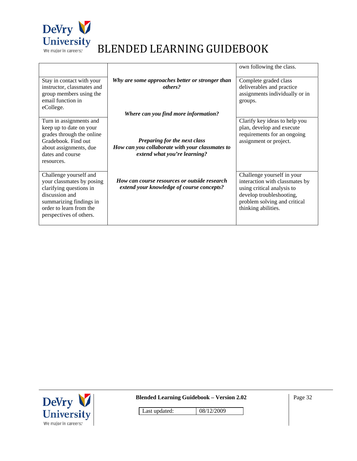

|                                                                                                                                                                                   |                                                                                                                 | own following the class.                                                                                                                                                      |
|-----------------------------------------------------------------------------------------------------------------------------------------------------------------------------------|-----------------------------------------------------------------------------------------------------------------|-------------------------------------------------------------------------------------------------------------------------------------------------------------------------------|
| Stay in contact with your<br>instructor, classmates and                                                                                                                           | Why are some approaches better or stronger than<br>others?                                                      | Complete graded class<br>deliverables and practice                                                                                                                            |
| group members using the<br>email function in                                                                                                                                      |                                                                                                                 | assignments individually or in                                                                                                                                                |
| eCollege.                                                                                                                                                                         |                                                                                                                 | groups.                                                                                                                                                                       |
|                                                                                                                                                                                   | Where can you find more information?                                                                            |                                                                                                                                                                               |
| Turn in assignments and<br>keep up to date on your<br>grades through the online                                                                                                   |                                                                                                                 | Clarify key ideas to help you<br>plan, develop and execute<br>requirements for an ongoing                                                                                     |
| Gradebook. Find out<br>about assignments, due<br>dates and course<br>resources.                                                                                                   | Preparing for the next class<br>How can you collaborate with your classmates to<br>extend what you're learning? | assignment or project.                                                                                                                                                        |
| Challenge yourself and<br>your classmates by posing<br>clarifying questions in<br>discussion and<br>summarizing findings in<br>order to learn from the<br>perspectives of others. | <b>How can course resources or outside research</b><br>extend your knowledge of course concepts?                | Challenge yourself in your<br>interaction with classmates by<br>using critical analysis to<br>develop troubleshooting,<br>problem solving and critical<br>thinking abilities. |



**Blended Learning Guidebook – Version 2.02**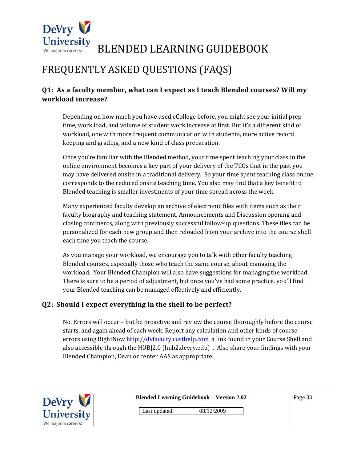

### FREQUENTLY ASKED QUESTIONS (FAQS)

#### **Q1: As a faculty member, what can I expect as I teach Blended courses? Will my workload increase?**

Depending on how much you have used eCollege before, you might see your initial prep time, work load, and volume of student work increase at first. But it's a different kind of workload, one with more frequent communication with students, more active record keeping and grading, and a new kind of class preparation.

Once you're familiar with the Blended method, your time spent teaching your class in the online environment becomes a key part of your delivery of the TCOs that in the past you may have delivered onsite in a traditional delivery. So your time spent teaching class online corresponds to the reduced onsite teaching time. You also may find that a key benefit to Blended teaching is smaller investments of your time spread across the week.

Many experienced faculty develop an archive of electronic files with items such as their faculty biography and teaching statement, Announcements and Discussion opening and closing comments, along with previously successful follow‐up questions. These files can be personalized for each new group and then reloaded from your archive into the course shell each time you teach the course.

As you manage your workload, we encourage you to talk with other faculty teaching Blended courses, especially those who teach the same course, about managing the workload. Your Blended Champion will also have suggestions for managing the workload. There is sure to be a period of adjustment, but once you've had some practice, you'll find your Blended teaching can be managed effectively and efficiently.

#### **Q2: Should I expect everything in the shell to be perfect?**

No. Errors will occur – but be proactive and review the course thoroughly before the course starts, and again ahead of each week. Report any calculation and other kinds of course errors using RightNow http://dvfaculty.custhelp.com a link found in your Course Shell and also accessible through the HUB|2.0 (hub2.devry.edu) . Also share your findings with your Blended Champion, Dean or center AAS as appropriate.

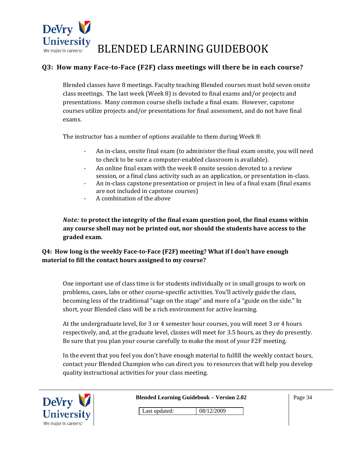

#### **Q3: How many FacetoFace (F2F) class meetings will there be in each course?**

Blended classes have 8 meetings. Faculty teaching Blended courses must hold seven onsite class meetings. The last week (Week 8) is devoted to final exams and/or projects and presentations. Many common course shells include a final exam. However, capstone courses utilize projects and/or presentations for final assessment, and do not have final exams.

The instructor has a number of options available to them during Week 8:

- ‐ An in‐class, onsite final exam (to administer the final exam onsite, you will need to check to be sure a computer-enabled classroom is available).
- ‐ An online final exam with the week 8 onsite session devoted to a review session, or a final class activity such as an application, or presentation in‐class.
- ‐ An in‐class capstone presentation or project in lieu of a final exam (final exams are not included in capstone courses)
- ‐ A combination of the above

*Note:* **to protect the integrity of the final exam question pool, the final exams within any course shell may not be printed out, nor should the students have access to the graded exam.**

#### **Q4: How long is the weekly FacetoFace (F2F) meeting? What if I don't have enough material to fill the contact hours assigned to my course?**

One important use of class time is for students individually or in small groups to work on problems, cases, labs or other course‐specific activities. You'll actively guide the class, becoming less of the traditional "sage on the stage" and more of a "guide on the side." In short, your Blended class will be a rich environment for active learning.

At the undergraduate level, for 3 or 4 semester hour courses, you will meet 3 or 4 hours respectively, and, at the graduate level, classes will meet for 3.5 hours, as they do presently. Be sure that you plan your course carefully to make the most of your F2F meeting.

In the event that you feel you don't have enough material to fulfill the weekly contact hours, contact your Blended Champion who can direct you to resources that will help you develop quality instructional activities for your class meeting.

| DeVry $\bigvee$       | <b>Blended Learning Guidebook - Version 2.02</b> | Page 34 |
|-----------------------|--------------------------------------------------|---------|
| <b>University</b>     | Last updated:<br>08/12/2009                      |         |
| We major in careers:" |                                                  |         |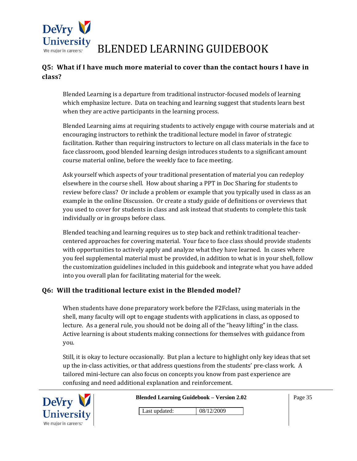

#### **Q5: What if I have much more material to cover than the contact hours I have in class?**

Blended Learning is a departure from traditional instructor‐focused models of learning which emphasize lecture. Data on teaching and learning suggest that students learn best when they are active participants in the learning process.

Blended Learning aims at requiring students to actively engage with course materials and at encouraging instructors to rethink the traditional lecture model in favor of strategic facilitation. Rather than requiring instructors to lecture on all class materials in the face to face classroom, good blended learning design introduces students to a significant amount course material online, before the weekly face to face meeting.

Ask yourself which aspects of your traditional presentation of material you can redeploy elsewhere in the course shell. How about sharing a PPT in Doc Sharing for students to review before class? Or include a problem or example that you typically used in class as an example in the online Discussion. Or create a study guide of definitions or overviews that you used to cover for students in class and ask instead that students to complete this task individually or in groups before class.

Blended teaching and learning requires us to step back and rethink traditional teacher‐ centered approaches for covering material. Your face to face class should provide students with opportunities to actively apply and analyze what they have learned. In cases where you feel supplemental material must be provided, in addition to what is in your shell, follow the customization guidelines included in this guidebook and integrate what you have added into you overall plan for facilitating material for the week.

#### **Q6: Will the traditional lecture exist in the Blended model?**

When students have done preparatory work before the F2Fclass, using materials in the shell, many faculty will opt to engage students with applications in class, as opposed to lecture. As a general rule, you should not be doing all of the "heavy lifting" in the class. Active learning is about students making connections for themselves with guidance from you.

Still, it is okay to lecture occasionally. But plan a lecture to highlight only key ideas that set up the in‐class activities, or that address questions from the students' pre‐class work. A tailored mini‐lecture can also focus on concepts you know from past experience are confusing and need additional explanation and reinforcement.



**Blended Learning Guidebook – Version 2.02**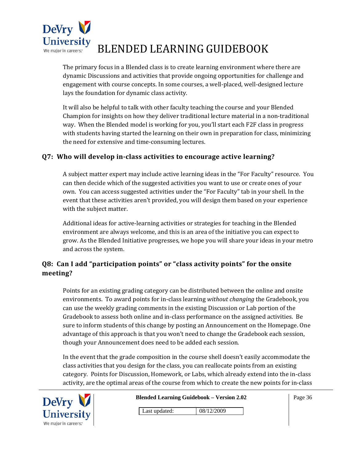

The primary focus in a Blended class is to create learning environment where there are dynamic Discussions and activities that provide ongoing opportunities for challenge and engagement with course concepts. In some courses, a well‐placed, well‐designed lecture lays the foundation for dynamic class activity.

It will also be helpful to talk with other faculty teaching the course and your Blended Champion for insights on how they deliver traditional lecture material in a non-traditional way. When the Blended model is working for you, you'll start each F2F class in progress with students having started the learning on their own in preparation for class, minimizing the need for extensive and time‐consuming lectures.

#### **Q7: Who will develop inclass activities to encourage active learning?**

A subject matter expert may include active learning ideas in the "For Faculty" resource. You can then decide which of the suggested activities you want to use or create ones of your own. You can access suggested activities under the "For Faculty" tab in your shell. In the event that these activities aren't provided, you will design them based on your experience with the subject matter.

Additional ideas for active‐learning activities or strategies for teaching in the Blended environment are always welcome, and this is an area of the initiative you can expect to grow. As the Blended Initiative progresses, we hope you will share your ideas in your metro and across the system.

#### **Q8: Can I add "participation points" or "class activity points" for the onsite meeting?**

Points for an existing grading category can be distributed between the online and onsite environments. To award points for in‐class learning *without changing* the Gradebook, you can use the weekly grading comments in the existing Discussion or Lab portion of the Gradebook to assess both online and in‐class performance on the assigned activities. Be sure to inform students of this change by posting an Announcement on the Homepage. One advantage of this approach is that you won't need to change the Gradebook each session, though your Announcement does need to be added each session.

In the event that the grade composition in the course shell doesn't easily accommodate the class activities that you design for the class, you can reallocate points from an existing category. Points for Discussion, Homework, or Labs, which already extend into the in‐class activity, are the optimal areas of the course from which to create the new points for in‐class



**Blended Learning Guidebook – Version 2.02**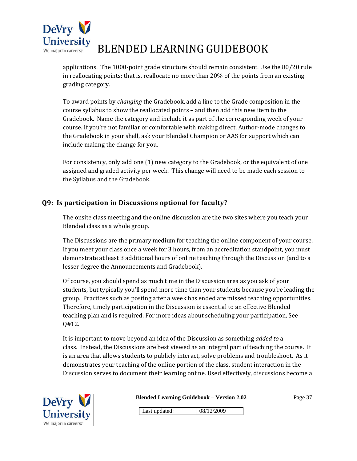

applications. The 1000‐point grade structure should remain consistent. Use the 80/20 rule in reallocating points; that is, reallocate no more than 20% of the points from an existing grading category.

To award points by *changing* the Gradebook, add a line to the Grade composition in the course syllabus to show the reallocated points – and then add this new item to the Gradebook. Name the category and include it as part of the corresponding week of your course. If you're not familiar or comfortable with making direct, Author-mode changes to the Gradebook in your shell, ask your Blended Champion or AAS for support which can include making the change for you.

For consistency, only add one (1) new category to the Gradebook, or the equivalent of one assigned and graded activity per week. This change will need to be made each session to the Syllabus and the Gradebook.

#### **Q9: Is participation in Discussions optional for faculty?**

The onsite class meeting and the online discussion are the two sites where you teach your Blended class as a whole group.

The Discussions are the primary medium for teaching the online component of your course. If you meet your class once a week for 3 hours, from an accreditation standpoint, you must demonstrate at least 3 additional hours of online teaching through the Discussion (and to a lesser degree the Announcements and Gradebook).

Of course, you should spend as much time in the Discussion area as you ask of your students, but typically you'll spend more time than your students because you're leading the group. Practices such as posting after a week has ended are missed teaching opportunities. Therefore, timely participation in the Discussion is essential to an effective Blended teaching plan and is required. For more ideas about scheduling your participation, See Q#12.

It is important to move beyond an idea of the Discussion as something *added to* a class. Instead, the Discussions are best viewed as an integral part of teaching the course. It is an area that allows students to publicly interact, solve problems and troubleshoot. As it demonstrates your teaching of the online portion of the class, student interaction in the Discussion serves to document their learning online. Used effectively, discussions become a



**Blended Learning Guidebook – Version 2.02**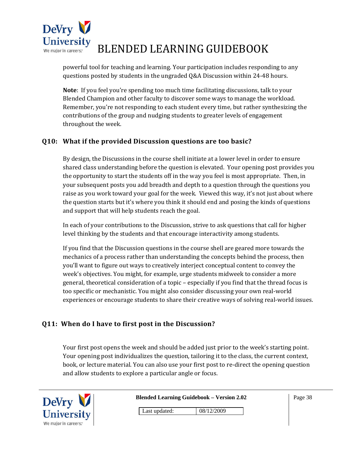

powerful tool for teaching and learning. Your participation includes responding to any questions posted by students in the ungraded Q&A Discussion within 24‐48 hours.

**Note**: If you feel you're spending too much time facilitating discussions, talk to your Blended Champion and other faculty to discover some ways to manage the workload. Remember, you're not responding to each student every time, but rather synthesizing the contributions of the group and nudging students to greater levels of engagement throughout the week.

#### **Q10: What if the provided Discussion questions are too basic?**

By design, the Discussions in the course shell initiate at a lower level in order to ensure shared class understanding before the question is elevated. Your opening post provides you the opportunity to start the students off in the way you feel is most appropriate. Then, in your subsequent posts you add breadth and depth to a question through the questions you raise as you work toward your goal for the week. Viewed this way, it's not just about where the question starts but it's where you think it should end and posing the kinds of questions and support that will help students reach the goal.

In each of your contributions to the Discussion, strive to ask questions that call for higher level thinking by the students and that encourage interactivity among students.

If you find that the Discussion questions in the course shell are geared more towards the mechanics of a process rather than understanding the concepts behind the process, then you'll want to figure out ways to creatively interject conceptual content to convey the week's objectives. You might, for example, urge students midweek to consider a more general, theoretical consideration of a topic – especially if you find that the thread focus is too specific or mechanistic. You might also consider discussing your own real‐world experiences or encourage students to share their creative ways of solving real‐world issues.

#### **Q11: When do I have to first post in the Discussion?**

Your first post opens the week and should be added just prior to the week's starting point. Your opening post individualizes the question, tailoring it to the class, the current context, book, or lecture material. You can also use your first post to re-direct the opening question and allow students to explore a particular angle or focus.

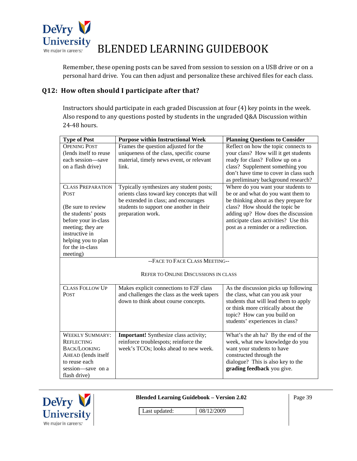

Remember, these opening posts can be saved from session to session on a USB drive or on a personal hard drive. You can then adjust and personalize these archived files for each class.

#### **Q12: How often should I participate after that?**

Instructors should participate in each graded Discussion at four (4) key points in the week. Also respond to any questions posted by students in the ungraded Q&A Discussion within 24‐48 hours.

| <b>Type of Post</b>      | <b>Purpose within Instructional Week</b>     | <b>Planning Questions to Consider</b>  |
|--------------------------|----------------------------------------------|----------------------------------------|
| <b>OPENING POST</b>      | Frames the question adjusted for the         | Reflect on how the topic connects to   |
| (lends itself to reuse   | uniqueness of the class, specific course     | your class? How will it get students   |
| each session-save        | material, timely news event, or relevant     | ready for class? Follow up on a        |
| on a flash drive)        | link.                                        | class? Supplement something you        |
|                          |                                              | don't have time to cover in class such |
|                          |                                              | as preliminary background research?    |
| <b>CLASS PREPARATION</b> | Typically synthesizes any student posts;     | Where do you want your students to     |
| <b>POST</b>              | orients class toward key concepts that will  | be or and what do you want them to     |
|                          | be extended in class; and encourages         | be thinking about as they prepare for  |
| (Be sure to review)      | students to support one another in their     | class? How should the topic be         |
| the students' posts      | preparation work.                            | adding up? How does the discussion     |
| before your in-class     |                                              | anticipate class activities? Use this  |
| meeting; they are        |                                              | post as a reminder or a redirection.   |
| instructive in           |                                              |                                        |
| helping you to plan      |                                              |                                        |
| for the in-class         |                                              |                                        |
| meeting)                 |                                              |                                        |
|                          | --FACE TO FACE CLASS MEETING--               |                                        |
|                          | REFER TO ONLINE DISCUSSIONS IN CLASS         |                                        |
|                          |                                              |                                        |
| <b>CLASS FOLLOW UP</b>   | Makes explicit connections to F2F class      | As the discussion picks up following   |
| <b>POST</b>              | and challenges the class as the week tapers  | the class, what can you ask your       |
|                          | down to think about course concepts.         | students that will lead them to apply  |
|                          |                                              | or think more critically about the     |
|                          |                                              | topic? How can you build on            |
|                          |                                              | students' experiences in class?        |
|                          |                                              |                                        |
| <b>WEEKLY SUMMARY:</b>   | <b>Important!</b> Synthesize class activity; | What's the ah ha? By the end of the    |
| <b>REFLECTING</b>        | reinforce troublespots; reinforce the        | week, what new knowledge do you        |
| <b>BACK/LOOKING</b>      | week's TCOs; looks ahead to new week.        | want your students to have             |
| AHEAD (lends itself      |                                              | constructed through the                |
| to reuse each            |                                              | dialogue? This is also key to the      |
| session-save on a        |                                              | grading feedback you give.             |
| flash drive)             |                                              |                                        |



**Blended Learning Guidebook – Version 2.02** 

Page 39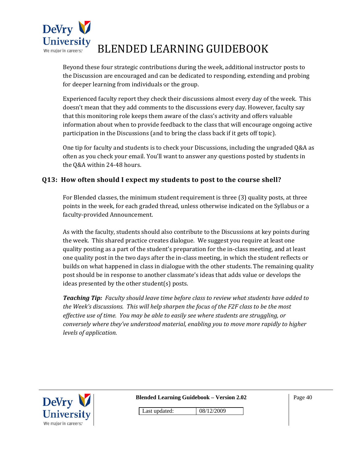

Beyond these four strategic contributions during the week, additional instructor posts to the Discussion are encouraged and can be dedicated to responding, extending and probing for deeper learning from individuals or the group.

Experienced faculty report they check their discussions almost every day of the week. This doesn't mean that they add comments to the discussions every day. However, faculty say that this monitoring role keeps them aware of the class's activity and offers valuable information about when to provide feedback to the class that will encourage ongoing active participation in the Discussions (and to bring the class back if it gets off topic).

One tip for faculty and students is to check your Discussions, including the ungraded Q&A as often as you check your email. You'll want to answer any questions posted by students in the Q&A within 24‐48 hours.

#### **Q13: How often should I expect my students to post to the course shell?**

For Blended classes, the minimum student requirement is three (3) quality posts, at three points in the week, for each graded thread, unless otherwise indicated on the Syllabus or a faculty‐provided Announcement.

As with the faculty, students should also contribute to the Discussions at key points during the week. This shared practice creates dialogue. We suggest you require at least one quality posting as a part of the student's preparation for the in‐class meeting, and at least one quality post in the two days after the in‐class meeting, in which the student reflects or builds on what happened in class in dialogue with the other students. The remaining quality post should be in response to another classmate's ideas that adds value or develops the ideas presented by the other student(s) posts.

*Teaching Tip: Faculty should leave time before class to review what students have added to the Week's discussions. This will help sharpen the focus of the F2F class to be the most effective use of time. You may be able to easily see where students are struggling, or conversely where they've understood material, enabling you to move more rapidly to higher levels of application.* 



**Blended Learning Guidebook – Version 2.02** 

Page 40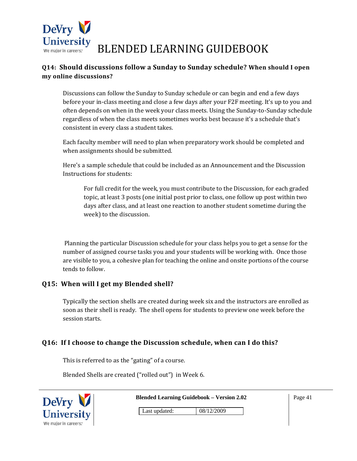

#### **Q14: Should discussions follow a Sunday to Sunday schedule? When should I open my online discussions?**

Discussions can follow the Sunday to Sunday schedule or can begin and end a few days before your in-class meeting and close a few days after your F2F meeting. It's up to you and often depends on when in the week your class meets. Using the Sunday‐to‐Sunday schedule regardless of when the class meets sometimes works best because it's a schedule that's consistent in every class a student takes.

Each faculty member will need to plan when preparatory work should be completed and when assignments should be submitted.

Here's a sample schedule that could be included as an Announcement and the Discussion Instructions for students:

For full credit for the week, you must contribute to the Discussion, for each graded topic, at least 3 posts (one initial post prior to class, one follow up post within two days after class, and at least one reaction to another student sometime during the week) to the discussion.

 Planning the particular Discussion schedule for your class helps you to get a sense for the number of assigned course tasks you and your students will be working with. Once those are visible to you, a cohesive plan for teaching the online and onsite portions of the course tends to follow.

#### **Q15: When will I get my Blended shell?**

Typically the section shells are created during week six and the instructors are enrolled as soon as their shell is ready. The shell opens for students to preview one week before the session starts.

#### **Q16: If I choose to change the Discussion schedule, when can I do this?**

This is referred to as the "gating" of a course.

Blended Shells are created ("rolled out") in Week 6.

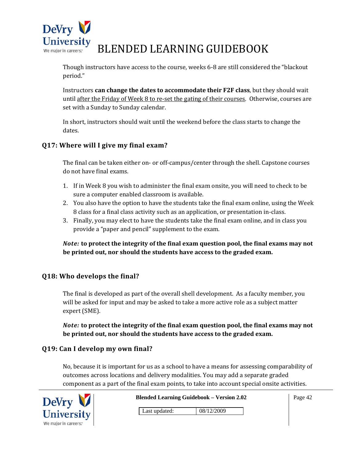

Though instructors have access to the course, weeks 6‐8 are still considered the "blackout period."

Instructors **can change the dates to accommodate their F2F class**, but they should wait until after the Friday of Week 8 to re‐set the gating of their courses. Otherwise, courses are set with a Sunday to Sunday calendar.

In short, instructors should wait until the weekend before the class starts to change the dates.

#### **Q17: Where will I give my final exam?**

The final can be taken either on- or off-campus/center through the shell. Capstone courses do not have final exams.

- 1. If in Week 8 you wish to administer the final exam onsite, you will need to check to be sure a computer enabled classroom is available.
- 2. You also have the option to have the students take the final exam online, using the Week 8 class for a final class activity such as an application, or presentation in‐class.
- 3. Finally, you may elect to have the students take the final exam online, and in class you provide a "paper and pencil" supplement to the exam.

*Note:* **to protect the integrity of the final exam question pool, the final exams may not be printed out, nor should the students have access to the graded exam.**

#### **Q18: Who develops the final?**

The final is developed as part of the overall shell development. As a faculty member, you will be asked for input and may be asked to take a more active role as a subject matter expert (SME).

*Note:* **to protect the integrity of the final exam question pool, the final exams may not be printed out, nor should the students have access to the graded exam.**

#### **Q19: Can I develop my own final?**

No, because it is important for us as a school to have a means for assessing comparability of outcomes across locations and delivery modalities. You may add a separate graded component as a part of the final exam points, to take into account special onsite activities.

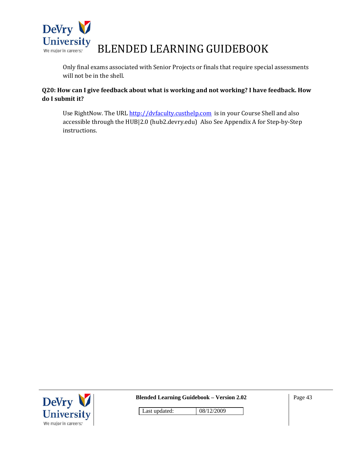

Only final exams associated with Senior Projects or finals that require special assessments will not be in the shell.

#### **Q20: How can I give feedback about what is working and not working? I have feedback. How do I submit it?**

Use RightNow. The URL http://dvfaculty.custhelp.com is in your Course Shell and also accessible through the HUB|2.0 (hub2.devry.edu) Also See Appendix A for Step‐by‐Step instructions.



**Blended Learning Guidebook – Version 2.02**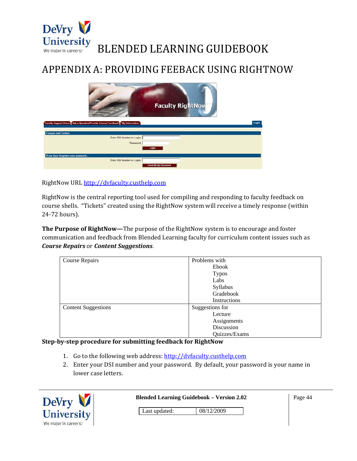

### APPENDIX A: PROVIDING FEEBACK USING RIGHTNOW

| <b>Faculty RightNow</b>                                                    |       |
|----------------------------------------------------------------------------|-------|
| Faculty Support Home Ask a Question/Provide Course Feedback My Information | Login |
| <b>Campus and Centers</b>                                                  |       |
| Enter DSI Number to Login:                                                 |       |
| Password:                                                                  |       |
| Login                                                                      |       |
| If you have forgotten your password                                        |       |
| Enter DSI Number to Login:                                                 |       |
| <b>Email Me My Password</b>                                                |       |
|                                                                            |       |

RightNow URL http://dvfaculty.custhelp.com

RightNow is the central reporting tool used for compiling and responding to faculty feedback on course shells. "Tickets" created using the RightNow system will receive a timely response (within 24‐72 hours).

**The Purpose of RightNow—**The purpose of the RightNow system is to encourage and foster communication and feedback from Blended Learning faculty for curriculum content issues such as *Course Repairs* or *Content Suggestions*.

| Course Repairs             | Problems with   |
|----------------------------|-----------------|
|                            | Ebook           |
|                            | <b>Typos</b>    |
|                            | Labs            |
|                            | Syllabus        |
|                            | Gradebook       |
|                            | Instructions    |
| <b>Content Suggestions</b> | Suggestions for |
|                            | Lecture         |
|                            | Assignments     |
|                            | Discussion      |
|                            | Quizzes/Exams   |

#### **Stepbystep procedure for submitting feedback for RightNow**

- 1. Go to the following web address: http://dvfaculty.custhelp.com
- 2. Enter your DSI number and your password. By default, your password is your name in lower case letters.

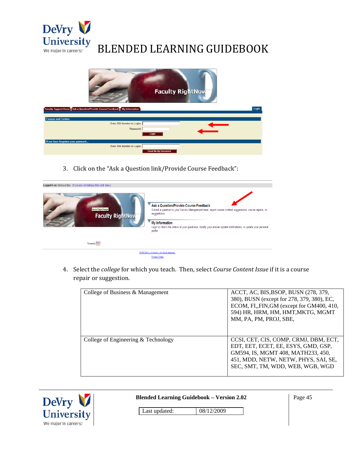



3. Click on the "Ask a Question link/Provide Course Feedback":



4. Select the *college* for which you teach. Then, select *Course Content Issue* if it is a course repair or suggestion.

| College of Business & Management    | ACCT, AC, BIS, BSOP, BUSN (278, 379,<br>380), BUSN (except for 278, 379, 380), EC,<br>ECOM, FI, FIN, GM (except for GM400, 410,<br>594) HR, HRM, HM, HMT, MKTG, MGMT<br>MM, PA, PM, PROJ, SBE, |
|-------------------------------------|------------------------------------------------------------------------------------------------------------------------------------------------------------------------------------------------|
| College of Engineering & Technology | CCSI, CET, CIS, COMP, CRMJ, DBM, ECT,<br>EDT, EET, ECET, EE, ESYS, GMD, GSP,<br>GM594, IS, MGMT 408, MATH233, 450,<br>451, MDD, NETW, NETW, PHYS, SAI, SE,<br>SEC, SMT, TM, WDD, WEB, WGB, WGD |



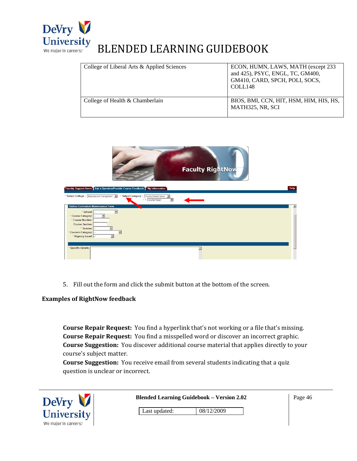

| College of Liberal Arts & Applied Sciences | ECON, HUMN, LAWS, MATH (except 233<br>and 425), PSYC, ENGL, TC, GM400,<br>GM410, CARD, SPCH, POLI, SOCS,<br>COLL <sub>148</sub> |
|--------------------------------------------|---------------------------------------------------------------------------------------------------------------------------------|
| College of Health & Chamberlain            | BIOS, BMI, CCN, HIT, HSM, HIM, HIS, HS,<br>MATH325, NR, SCI                                                                     |



5. Fill out the form and click the submit button at the bottom of the screen.

#### **Examples of RightNow feedback**

**Course Repair Request:** You find a hyperlink that's not working or a file that's missing. **Course Repair Request:** You find a misspelled word or discover an incorrect graphic. **Course Suggestion:** You discover additional course material that applies directly to your course's subject matter.

**Course Suggestion:** You receive email from several students indicating that a quiz question is unclear or incorrect.

| DeVry V              | <b>Blended Learning Guidebook - Version 2.02</b> | Page 46 |
|----------------------|--------------------------------------------------|---------|
| <b>University</b>    | Last updated:<br>08/12/2009                      |         |
| We major in careers: |                                                  |         |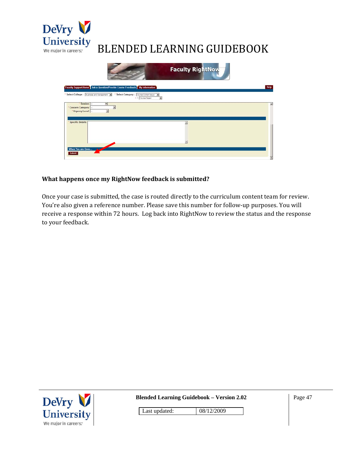

|                                                                                                               | <b>Faculty RightNow</b> |      |
|---------------------------------------------------------------------------------------------------------------|-------------------------|------|
| Faculty Support Home   Ask a Question/Provide Course Feedback   My Information                                |                         | Help |
| Select College : Susness and Hanagement 30<br>* Select Category:<br>Course Content issue<br>- L Course Repair | 복                       |      |
| * Session: -<br>$\vert \overline{x} \vert$<br>Concern Category: -<br>* Urgency Level: -                       |                         | 国    |
| <b>Specific Details:</b>                                                                                      | ۰<br>뢰                  |      |
| When You are Done<br><b>Submit</b>                                                                            |                         | Ξ    |

#### **What happens once my RightNow feedback is submitted?**

Once your case is submitted, the case is routed directly to the curriculum content team for review. You're also given a reference number. Please save this number for follow‐up purposes. You will receive a response within 72 hours. Log back into RightNow to review the status and the response to your feedback.



**Blended Learning Guidebook – Version 2.02**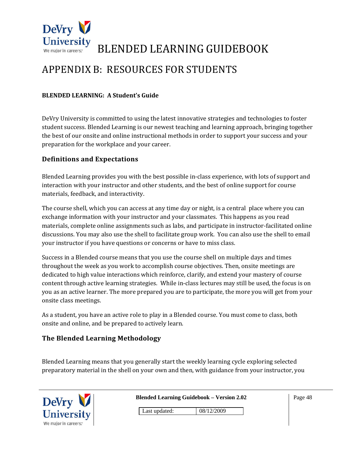

### APPENDIX B: RESOURCES FOR STUDENTS

#### **BLENDED LEARNING: A Student's Guide**

DeVry University is committed to using the latest innovative strategies and technologies to foster student success. Blended Learning is our newest teaching and learning approach, bringing together the best of our onsite and online instructional methods in order to support your success and your preparation for the workplace and your career.

#### **Definitions and Expectations**

Blended Learning provides you with the best possible in‐class experience, with lots of support and interaction with your instructor and other students, and the best of online support for course materials, feedback, and interactivity.

The course shell, which you can access at any time day or night, is a central place where you can exchange information with your instructor and your classmates. This happens as you read materials, complete online assignments such as labs, and participate in instructor‐facilitated online discussions. You may also use the shell to facilitate group work. You can also use the shell to email your instructor if you have questions or concerns or have to miss class.

Success in a Blended course means that you use the course shell on multiple days and times throughout the week as you work to accomplish course objectives. Then, onsite meetings are dedicated to high value interactions which reinforce, clarify, and extend your mastery of course content through active learning strategies. While in‐class lectures may still be used, the focus is on you as an active learner. The more prepared you are to participate, the more you will get from your onsite class meetings.

As a student, you have an active role to play in a Blended course. You must come to class, both onsite and online, and be prepared to actively learn.

#### **The Blended Learning Methodology**

Blended Learning means that you generally start the weekly learning cycle exploring selected preparatory material in the shell on your own and then, with guidance from your instructor, you

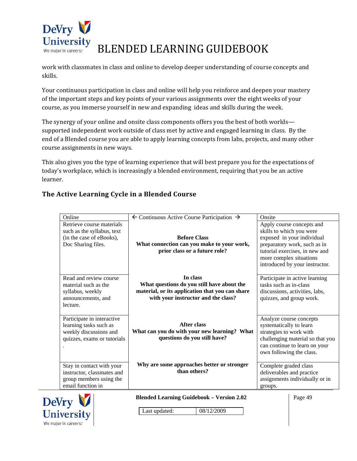

work with classmates in class and online to develop deeper understanding of course concepts and skills.

Your continuous participation in class and online will help you reinforce and deepen your mastery of the important steps and key points of your various assignments over the eight weeks of your course, as you immerse yourself in new and expanding ideas and skills during the week.

The synergy of your online and onsite class components offers you the best of both worlds supported independent work outside of class met by active and engaged learning in class. By the end of a Blended course you are able to apply learning concepts from labs, projects, and many other course assignments in new ways.

This also gives you the type of learning experience that will best prepare you for the expectations of today's workplace, which is increasingly a blended environment, requiring that you be an active learner.

#### **The Active Learning Cycle in a Blended Course**

| Online                                                                                                        | $\leftarrow$ Continuous Active Course Participation $\rightarrow$                                                                                | Onsite                                                                                                                                                                                                             |
|---------------------------------------------------------------------------------------------------------------|--------------------------------------------------------------------------------------------------------------------------------------------------|--------------------------------------------------------------------------------------------------------------------------------------------------------------------------------------------------------------------|
| Retrieve course materials<br>such as the syllabus, text<br>(in the case of eBooks),<br>Doc Sharing files.     | <b>Before Class</b><br>What connection can you make to your work,<br>prior class or a future role?                                               | Apply course concepts and<br>skills to which you were<br>exposed in your individual<br>preparatory work, such as in<br>tutorial exercises, in new and<br>more complex situations<br>introduced by your instructor. |
| Read and review course<br>material such as the<br>syllabus, weekly<br>announcements, and<br>lecture.          | In class<br>What questions do you still have about the<br>material, or its application that you can share<br>with your instructor and the class? | Participate in active learning<br>tasks such as in-class<br>discussions, activities, labs,<br>quizzes, and group work.                                                                                             |
| Participate in interactive<br>learning tasks such as<br>weekly discussions and<br>quizzes, exams or tutorials | <b>After class</b><br>What can you do with your new learning? What<br>questions do you still have?                                               | Analyze course concepts<br>systematically to learn<br>strategies to work with<br>challenging material so that you<br>can continue to learn on your<br>own following the class.                                     |
| Stay in contact with your<br>instructor, classmates and<br>group members using the<br>email function in       | Why are some approaches better or stronger<br>than others?                                                                                       | Complete graded class<br>deliverables and practice<br>assignments individually or in<br>groups.                                                                                                                    |
| T                                                                                                             | <b>Blended Learning Guidebook - Version 2.02</b>                                                                                                 | Page 49                                                                                                                                                                                                            |

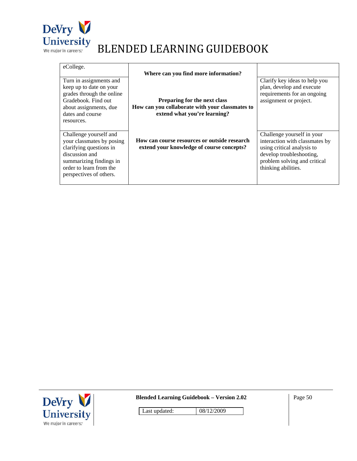

| eCollege.                                                                                                                                                                         | Where can you find more information?                                                                            |                                                                                                                                                                               |
|-----------------------------------------------------------------------------------------------------------------------------------------------------------------------------------|-----------------------------------------------------------------------------------------------------------------|-------------------------------------------------------------------------------------------------------------------------------------------------------------------------------|
| Turn in assignments and<br>keep up to date on your<br>grades through the online<br>Gradebook. Find out<br>about assignments, due<br>dates and course<br>resources.                | Preparing for the next class<br>How can you collaborate with your classmates to<br>extend what you're learning? | Clarify key ideas to help you<br>plan, develop and execute<br>requirements for an ongoing<br>assignment or project.                                                           |
| Challenge yourself and<br>your classmates by posing<br>clarifying questions in<br>discussion and<br>summarizing findings in<br>order to learn from the<br>perspectives of others. | How can course resources or outside research<br>extend your knowledge of course concepts?                       | Challenge yourself in your<br>interaction with classmates by<br>using critical analysis to<br>develop troubleshooting,<br>problem solving and critical<br>thinking abilities. |



**Blended Learning Guidebook – Version 2.02** 

Page 50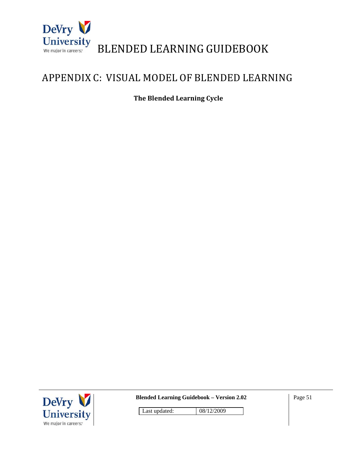

### APPENDIX C: VISUAL MODEL OF BLENDED LEARNING

**The Blended Learning Cycle**



**Blended Learning Guidebook – Version 2.02**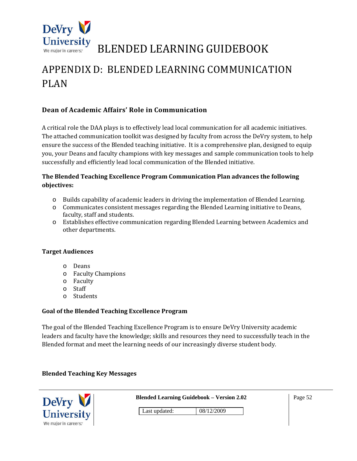

### APPENDIX D: BLENDED LEARNING COMMUNICATION PLAN

#### **Dean of Academic Affairs' Role in Communication**

A critical role the DAA plays is to effectively lead local communication for all academic initiatives. The attached communication toolkit was designed by faculty from across the DeVry system, to help ensure the success of the Blended teaching initiative. It is a comprehensive plan, designed to equip you, your Deans and faculty champions with key messages and sample communication tools to help successfully and efficiently lead local communication of the Blended initiative.

#### **The Blended Teaching Excellence Program Communication Plan advances the following objectives:**

- o Builds capability of academic leaders in driving the implementation of Blended Learning.
- o Communicates consistent messages regarding the Blended Learning initiative to Deans, faculty, staff and students.
- o Establishes effective communication regarding Blended Learning between Academics and other departments.

#### **Target Audiences**

- o Deans
- o Faculty Champions
- o Faculty
- o Staff
- o Students

#### **Goal of the Blended Teaching Excellence Program**

The goal of the Blended Teaching Excellence Program is to ensure DeVry University academic leaders and faculty have the knowledge; skills and resources they need to successfully teach in the Blended format and meet the learning needs of our increasingly diverse student body.

#### **Blended Teaching Key Messages**

| DeVry                | <b>Blended Learning Guidebook - Version 2.02</b> |            |  |  |  | Page 52 |
|----------------------|--------------------------------------------------|------------|--|--|--|---------|
| <b>University</b>    | Last updated:                                    | 08/12/2009 |  |  |  |         |
| We major in careers: |                                                  |            |  |  |  |         |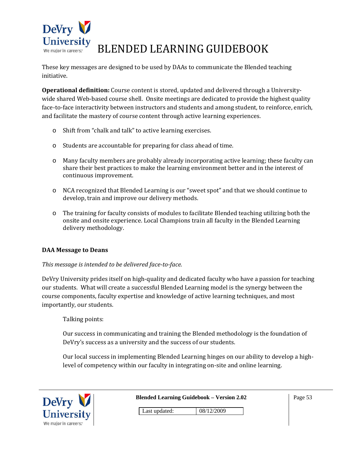

These key messages are designed to be used by DAAs to communicate the Blended teaching initiative.

**Operational definition:** Course content is stored, updated and delivered through a University‐ wide shared Web-based course shell. Onsite meetings are dedicated to provide the highest quality face-to-face interactivity between instructors and students and among student, to reinforce, enrich, and facilitate the mastery of course content through active learning experiences.

- o Shift from "chalk and talk" to active learning exercises.
- o Students are accountable for preparing for class ahead of time.
- o Many faculty members are probably already incorporating active learning; these faculty can share their best practices to make the learning environment better and in the interest of continuous improvement.
- o NCA recognized that Blended Learning is our "sweet spot" and that we should continue to develop, train and improve our delivery methods.
- o The training for faculty consists of modules to facilitate Blended teaching utilizing both the onsite and onsite experience. Local Champions train all faculty in the Blended Learning delivery methodology.

#### **DAA Message to Deans**

#### *This message is intended to be delivered facetoface.*

DeVry University prides itself on high-quality and dedicated faculty who have a passion for teaching our students. What will create a successful Blended Learning model is the synergy between the course components, faculty expertise and knowledge of active learning techniques, and most importantly, our students.

Talking points:

Our success in communicating and training the Blended methodology is the foundation of DeVry's success as a university and the success of our students.

Our local success in implementing Blended Learning hinges on our ability to develop a high‐ level of competency within our faculty in integrating on-site and online learning.

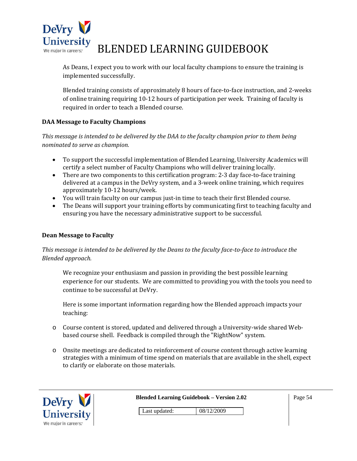

As Deans, I expect you to work with our local faculty champions to ensure the training is implemented successfully.

Blended training consists of approximately 8 hours of face‐to‐face instruction, and 2‐weeks of online training requiring 10‐12 hours of participation per week. Training of faculty is required in order to teach a Blended course.

#### **DAA Message to Faculty Champions**

*This message is intended to be delivered by the DAA to the faculty champion prior to them being nominated to serve as champion.*

- To support the successful implementation of Blended Learning, University Academics will certify a select number of Faculty Champions who will deliver training locally.
- There are two components to this certification program: 2-3 day face-to-face training delivered at a campus in the DeVry system, and a 3‐week online training, which requires approximately 10‐12 hours/week.
- You will train faculty on our campus just-in time to teach their first Blended course.
- The Deans will support your training efforts by communicating first to teaching faculty and ensuring you have the necessary administrative support to be successful.

#### **Dean Message to Faculty**

This message is intended to be delivered by the Deans to the faculty face-to-face to introduce the *Blended approach.*

We recognize your enthusiasm and passion in providing the best possible learning experience for our students. We are committed to providing you with the tools you need to continue to be successful at DeVry.

Here is some important information regarding how the Blended approach impacts your teaching:

- o Course content is stored, updated and delivered through a University‐wide shared Web‐ based course shell. Feedback is compiled through the "RightNow" system.
- o Onsite meetings are dedicated to reinforcement of course content through active learning strategies with a minimum of time spend on materials that are available in the shell, expect to clarify or elaborate on those materials.

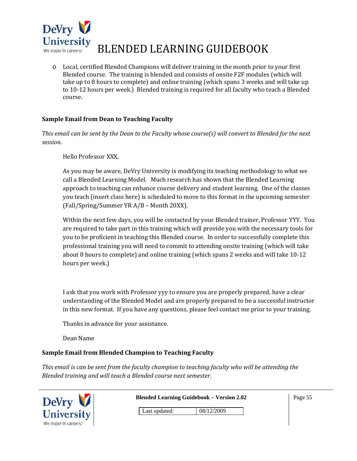

o Local, certified Blended Champions will deliver training in the month prior to your first Blended course. The training is blended and consists of onsite F2F modules (which will take up to 8 hours to complete) and online training (which spans 3 weeks and will take up to 10‐12 hours per week.) Blended training is required for all faculty who teach a Blended course.

#### **Sample Email from Dean to Teaching Faculty**

This email can be sent by the Dean to the Faculty whose course(s) will convert to Blended for the next *session.*

Hello Professor XXX,

As you may be aware, DeVry University is modifying its teaching methodology to what we call a Blended Learning Model. Much research has shown that the Blended Learning approach to teaching can enhance course delivery and student learning. One of the classes you teach (insert class here) is scheduled to move to this format in the upcoming semester (Fall/Spring/Summer YR A/B – Month 20XX).

Within the next few days, you will be contacted by your Blended trainer, Professor YYY. You are required to take part in this training which will provide you with the necessary tools for you to be proficient in teaching this Blended course. In order to successfully complete this professional training you will need to commit to attending onsite training (which will take about 8 hours to complete) and online training (which spans 2 weeks and will take 10‐12 hours per week.)

I ask that you work with Professor yyy to ensure you are properly prepared, have a clear understanding of the Blended Model and are properly prepared to be a successful instructor in this new format. If you have any questions, please feel contact me prior to your training.

Thanks in advance for your assistance.

Dean Name

#### **Sample Email from Blended Champion to Teaching Faculty**

*This email is can be sent from the faculty champion to teaching faculty who will be attending the Blended training and will teach a Blended course next semester.*

| Devry                |               | <b>Blended Learning Guidebook – Version 2.02</b> | Page 55 |
|----------------------|---------------|--------------------------------------------------|---------|
| University           | Last updated: | 08/12/2009                                       |         |
| We major in careers: |               |                                                  |         |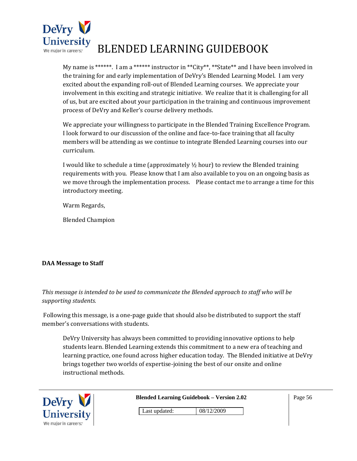

My name is \*\*\*\*\*\*. I am a \*\*\*\*\*\* instructor in \*\*City\*\*, \*\*State\*\* and I have been involved in the training for and early implementation of DeVry's Blended Learning Model. I am very excited about the expanding roll‐out of Blended Learning courses. We appreciate your involvement in this exciting and strategic initiative. We realize that it is challenging for all of us, but are excited about your participation in the training and continuous improvement process of DeVry and Keller's course delivery methods.

We appreciate your willingness to participate in the Blended Training Excellence Program. I look forward to our discussion of the online and face‐to‐face training that all faculty members will be attending as we continue to integrate Blended Learning courses into our curriculum.

I would like to schedule a time (approximately  $\frac{1}{2}$  hour) to review the Blended training requirements with you. Please know that I am also available to you on an ongoing basis as we move through the implementation process. Please contact me to arrange a time for this introductory meeting.

Warm Regards,

Blended Champion

#### **DAA Message to Staff**

*This message is intended to be used to communicate the Blended approach to staff who will be supporting students.* 

 Following this message, is a one‐page guide that should also be distributed to support the staff member's conversations with students.

DeVry University has always been committed to providing innovative options to help students learn. Blended Learning extends this commitment to a new era of teaching and learning practice, one found across higher education today. The Blended initiative at DeVry brings together two worlds of expertise‐joining the best of our onsite and online instructional methods.



**Blended Learning Guidebook – Version 2.02** 

Page 56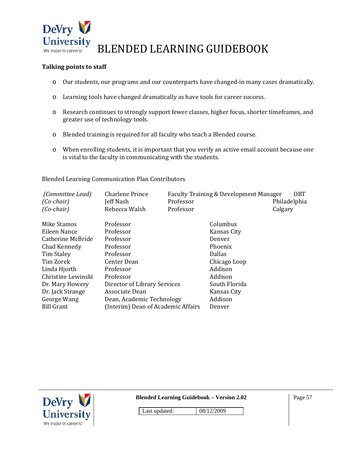

#### **Talking points to staff**

- o Our students, our programs and our counterparts have changed‐in many cases dramatically.
- o Learning tools have changed dramatically as have tools for career success.
- o Research continues to strongly support fewer classes, higher focus, shorter timeframes, and greater use of technology tools.
- o Blended training is required for all faculty who teach a Blended course.
- o When enrolling students, it is important that you verify an active email account because one is vital to the faculty in communicating with the students.

Blended Learning Communication Plan Contributors

| (Committee Lead)<br>$(Co$ -chair)<br>$(Co$ -chair) | Charlene Prince<br>Jeff Nash<br>Rebecca Walsh | Professor<br>Professor | Faculty Training & Development Manager | <b>OBT</b><br>Philadelphia<br>Calgary |
|----------------------------------------------------|-----------------------------------------------|------------------------|----------------------------------------|---------------------------------------|
| Mike Stamos                                        | Professor                                     |                        | Columbus                               |                                       |
| Eileen Nance                                       | Professor                                     |                        | Kansas City                            |                                       |
| Catherine McBride                                  | Professor                                     |                        | Denver                                 |                                       |
| Chad Kennedy                                       | Professor                                     |                        | Phoenix                                |                                       |
| Tim Staley                                         | Professor                                     |                        | <b>Dallas</b>                          |                                       |
| Tim Zorek                                          | Center Dean                                   |                        | Chicago Loop                           |                                       |
| Linda Hjorth                                       | Professor                                     |                        | Addison                                |                                       |
| Christine Lewinski                                 | Professor                                     |                        | Addison                                |                                       |
| Dr. Mary Howery                                    | Director of Library Services                  |                        | South Florida                          |                                       |
| Dr. Jack Strange                                   | Associate Dean                                |                        | Kansas City                            |                                       |
| George Wang                                        | Dean, Academic Technology                     |                        | Addison                                |                                       |
| <b>Bill Grant</b>                                  | (Interim) Dean of Academic Affairs            |                        | Denver                                 |                                       |



**Blended Learning Guidebook – Version 2.02** 

Page 57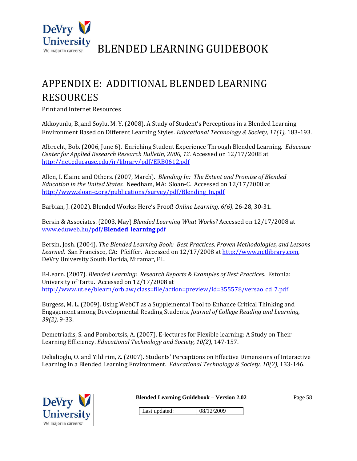

### APPENDIX E: ADDITIONAL BLENDED LEARNING RESOURCES

Print and Internet Resources

Akkoyunlu, B.,and Soylu, M. Y. (2008). A Study of Student's Perceptions in a Blended Learning Environment Based on Different Learning Styles. *Educational Technology & Society, 11(1),* 183‐193.

Albrecht, Bob. (2006, June 6). Enriching Student Experience Through Blended Learning. *Educause Center for Applied Research Research Bulletin, 2006, 12.* Accessed on 12/17/2008 at http://net.educause.edu/ir/library/pdf/ERB0612.pdf

Allen, I. Elaine and Others. (2007, March). *Blending In: The Extent and Promise of Blended Education in the United States.* Needham, MA: Sloan‐C. Accessed on 12/17/2008 at http://www.sloan-c.org/publications/survey/pdf/Blending\_In.pdf

Barbian, J. (2002). Blended Works: Here's Proof! *Online Learning, 6(6),* 26‐28, 30‐31.

Bersin & Associates. (2003, May) *Blended Learning What Works?* Accessed on 12/17/2008 at www.eduweb.hu/pdf/**Blended**\_**learning**.pdf

Bersin, Josh. (2004). *The Blended Learning Book: Best Practices, Proven Methodologies, and Lessons* Learned. San Francisco, CA: Pfeiffer. Accessed on  $12/17/2008$  at http://www.netlibrary.com, DeVry University South Florida, Miramar, FL.

B‐Learn. (2007). *Blended Learning: Research Reports & Examples of Best Practices.* Estonia: University of Tartu. Accessed on 12/17/2008 at http://www.ut.ee/blearn/orb.aw/class=file/action=preview/id=355578/versao\_cd\_7.pdf

Burgess, M. L. (2009). Using WebCT as a Supplemental Tool to Enhance Critical Thinking and Engagement among Developmental Reading Students. *Journal of College Reading and Learning, 39(2),* 9‐33.

Demetriadis, S. and Pombortsis, A. (2007). E‐lectures for Flexible learning: A Study on Their Learning Efficiency. *Educational Technology and Society, 10(2),* 147‐157.

Delialioglu, O. and Yildirim, Z. (2007). Students' Perceptions on Effective Dimensions of Interactive Learning in a Blended Learning Environment. *Educational Technology & Society, 10(2),* 133‐146.

| DeVry V              |               | <b>Blended Learning Guidebook - Version 2.02</b> | Page 58 |
|----------------------|---------------|--------------------------------------------------|---------|
| <b>University</b>    | Last updated: | 08/12/2009                                       |         |
| We major in careers: |               |                                                  |         |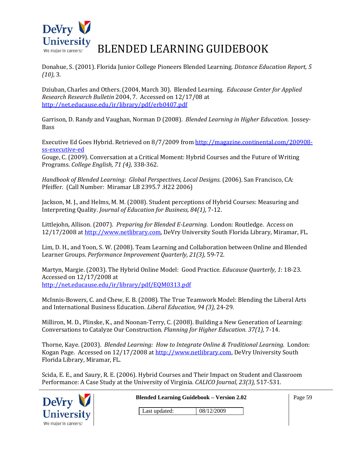

Donahue, S. (2001). Florida Junior College Pioneers Blended Learning. *Distance Education Report, 5 (10),* 3.

Dziuban, Charles and Others. (2004, March 30). Blended Learning. *Educause Center for Applied Research Research Bulletin* 2004, 7. Accessed on 12/17/08 at http://net.educause.edu/ir/library/pdf/erb0407.pdf

Garrison, D. Randy and Vaughan, Norman D (2008). *Blended Learning in Higher Education.* Jossey‐ Bass

Executive Ed Goes Hybrid. Retrieved on 8/7/2009 from http://magazine.continental.com/200908‐ ss‐executive‐ed

Gouge, C. (2009). Conversation at a Critical Moment: Hybrid Courses and the Future of Writing Programs. *College English, 71 (4),* 338‐362.

*Handbook of Blended Learning: Global Perspectives, Local Designs.* (2006). San Francisco, CA: Pfeiffer. (Call Number: Miramar LB 2395.7 .H22 2006)

Jackson, M. J., and Helms, M. M. (2008). Student perceptions of Hybrid Courses: Measuring and Interpreting Quality. *Journal of Education for Business, 84(1),* 7‐12.

Littlejohn, Allison. (2007). *Preparing for Blended ELearning.* London: Routledge. Access on 12/17/2008 at http://www.netlibrary.com, DeVry University South Florida Library, Miramar, FL.

Lim, D. H., and Yoon, S. W. (2008). Team Learning and Collaboration between Online and Blended Learner Groups. *Performance Improvement Quarterly, 21(3),* 59‐72.

Martyn, Margie. (2003). The Hybrid Online Model: Good Practice*. Educause Quarterly, 1*: 18‐23. Accessed on 12/17/2008 at http://net.educause.edu/ir/library/pdf/EQM0313.pdf

McInnis‐Bowers, C. and Chew, E. B. (2008). The True Teamwork Model: Blending the Liberal Arts and International Business Education. *Liberal Education, 94 (3),* 24‐29.

Milliron, M. D., Plinske, K., and Noonan‐Terry, C. (2008). Building a New Generation of Learning: Conversations to Catalyze Our Construction. *Planning for Higher Education. 37(1),* 7‐14.

Thorne, Kaye. (2003). *Blended Learning: How to Integrate Online & Traditional Learning.* London: Kogan Page. Accessed on 12/17/2008 at http://www.netlibrary.com, DeVry University South Florida Library, Miramar, FL.

Scida, E. E., and Saury, R. E. (2006). Hybrid Courses and Their Impact on Student and Classroom Performance: A Case Study at the University of Virginia. *CALICO Journal, 23(3),* 517‐531.

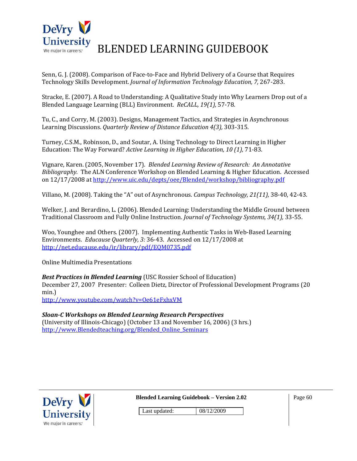

Senn, G. J. (2008). Comparison of Face-to-Face and Hybrid Delivery of a Course that Requires Technology Skills Development. *Journal of Information Technology Education, 7,* 267‐283.

Stracke, E. (2007). A Road to Understanding: A Qualitative Study into Why Learners Drop out of a Blended Language Learning (BLL) Environment. *ReCALL, 19(1),* 57‐78.

Tu, C., and Corry, M. (2003). Designs, Management Tactics, and Strategies in Asynchronous Learning Discussions. *Quarterly Review of Distance Education 4(3),* 303‐315.

Turney, C.S.M., Robinson, D., and Soutar, A. Using Technology to Direct Learning in Higher Education: The Way Forward? *Active Learning in Higher Education, 10 (1),* 71‐83.

Vignare, Karen. (2005, November 17). *Blended Learning Review of Research: An Annotative Bibliography.* The ALN Conference Workshop on Blended Learning & Higher Education. Accessed on 12/17/2008 at http://www.uic.edu/depts/oee/Blended/workshop/bibliography.pdf

Villano, M. (2008). Taking the "A" out of Asynchronous. *Campus Technology, 21(11),* 38‐40, 42‐43.

Welker, J. and Berardino, L. (2006). Blended Learning: Understanding the Middle Ground between Traditional Classroom and Fully Online Instruction. *Journal of Technology Systems, 34(1),* 33‐55.

Woo, Younghee and Others. (2007). Implementing Authentic Tasks in Web-Based Learning Environments. *Educause Quarterly, 3:* 36‐43. Accessed on 12/17/2008 at http://net.educause.edu/ir/library/pdf/EQM0735.pdf

Online Multimedia Presentations

*Best Practices in Blended Learning* (USC Rossier School of Education) December 27, 2007 Presenter: Colleen Dietz, Director of Professional Development Programs (20 min.) http://www.youtube.com/watch?v=Oe61eFxhxVM

*SloanC Workshops on Blended Learning Research Perspectives* (University of Illinois‐Chicago) (October 13 and November 16, 2006) (3 hrs.)

http://www.Blendedteaching.org/Blended\_Online\_Seminars



**Blended Learning Guidebook – Version 2.02** 

Page 60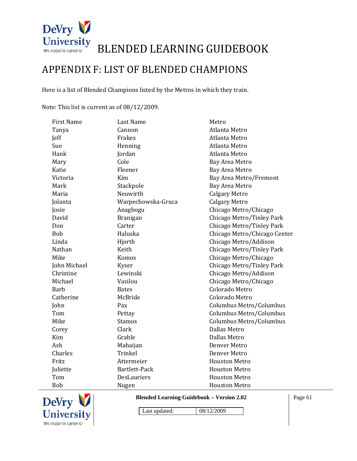

### APPENDIX F: LIST OF BLENDED CHAMPIONS

Here is a list of Blended Champions listed by the Metros in which they train.

Note: This list is current as of 08/12/2009.

| <b>First Name</b> | <b>Last Name</b>   | Metro                        |
|-------------------|--------------------|------------------------------|
| Tanya             | Cannon             | Atlanta Metro                |
| Jeff              | Frakes             | Atlanta Metro                |
| Sue               | Henning            | Atlanta Metro                |
| Hank              | Jordan             | Atlanta Metro                |
| Mary              | Cole               | Bay Area Metro               |
| Katie             | Fleener            | Bay Area Metro               |
| Victoria          | Kim                | Bay Area Metro/Fremont       |
| Mark              | Stackpole          | <b>Bay Area Metro</b>        |
| Maria             | Neuwirth           | <b>Calgary Metro</b>         |
| Jolanta           | Warpechowska-Gruca | <b>Calgary Metro</b>         |
| Josie             | Anagbogu           | Chicago Metro/Chicago        |
| David             | <b>Branigan</b>    | Chicago Metro/Tinley Park    |
| Don               | Carter             | Chicago Metro/Tinley Park    |
| <b>Bob</b>        | Haluska            | Chicago Metro/Chicago Center |
| Linda             | Hjorth             | Chicago Metro/Addison        |
| Nathan            | Keith              | Chicago Metro/Tinley Park    |
| Mike              | Komos              | Chicago Metro/Chicago        |
| John Michael      | Kyser              | Chicago Metro/Tinley Park    |
| Christine         | Lewinski           | Chicago Metro/Addison        |
| Michael           | Vasilou            | Chicago Metro/Chicago        |
| <b>Barb</b>       | <b>Bates</b>       | Colorado Metro               |
| Catherine         | McBride            | Colorado Metro               |
| John              | Pax                | Columbus Metro/Columbus      |
| Tom               | Pettay             | Columbus Metro/Columbus      |
| Mike              | <b>Stamos</b>      | Columbus Metro/Columbus      |
| Corey             | Clark              | <b>Dallas Metro</b>          |
| Kim               | Grable             | Dallas Metro                 |
| Ash               | Mahaijan           | Denver Metro                 |
| Charles           | Trinkel            | Denver Metro                 |
| Fritz             | Attermeier         | <b>Houston Metro</b>         |
| Juliette          | Bartlett-Pack      | <b>Houston Metro</b>         |
| Tom               | <b>DesLauriers</b> | <b>Houston Metro</b>         |
| <b>Bob</b>        | Nugen              | <b>Houston Metro</b>         |



**Blended Learning Guidebook – Version 2.02** 

Page 61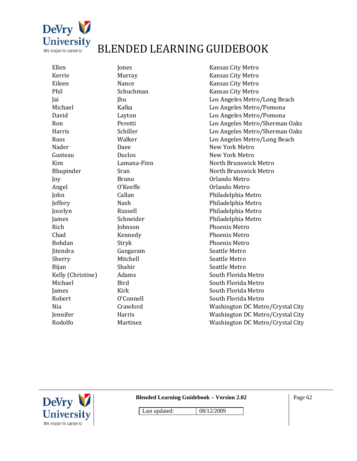

| Murra<br>Nance<br>Schuc<br>Jhu<br>Kalka<br>Layto<br>Perot<br>Schill<br>Walk<br>Daee<br>Duclo |
|----------------------------------------------------------------------------------------------|
|                                                                                              |
|                                                                                              |
|                                                                                              |
|                                                                                              |
|                                                                                              |
|                                                                                              |
|                                                                                              |
|                                                                                              |
|                                                                                              |
|                                                                                              |
|                                                                                              |
| Lama                                                                                         |
| Sran                                                                                         |
| Bruno                                                                                        |
| O'Kee                                                                                        |
| Callar                                                                                       |
| Nash                                                                                         |
| Russe                                                                                        |
| Schne                                                                                        |
| Johns                                                                                        |
| Kenn                                                                                         |
| Stryk                                                                                        |
| Ganga                                                                                        |
| Mitch                                                                                        |
| Shahi                                                                                        |
| Adam                                                                                         |
| <b>Bird</b>                                                                                  |
| Kirk                                                                                         |
| O'Con                                                                                        |
| Crawi                                                                                        |
| Harri:                                                                                       |
| Marti                                                                                        |
|                                                                                              |

Kansas City Metro ay the Murray Media Ransas City Metro e Kansas City Metro hman Kansas City Metro Los Angeles Metro/Long Beach Los Angeles Metro/Pomona n Los Angeles Metro/Pomona ti **Ron Election Election Contract Los Angeles Metro/Sherman Oaks** er **Erris Eldermin** Los Angeles Metro/Sherman Oaks er **Example 2018** Los Angeles Metro/Long Beach New York Metro S New York Metro na‐Finn Lamana‐Finn Lamana‐Finn Lamana North Brunswick Metro North Brunswick Metro o and Orlando Metro effe Changel Communication Communication Changel Orlando Metro n Callan Callan Philadelphia Metro Philadelphia Metro ell **Philadelphia Metro** eider **Schweider Einer Eine Eine** Philadelphia Metro Rich *Phoenix Metro* edy **Phoenix Metro** Phoenix Metro aram Seattle Metro nell Seattle Metro ir Seattle Metro South Florida Metro South Florida Metro South Florida Metro nell **South Florida Metro** ford **Example 20** Washington DC Metro/Crystal City s Washington DC Metro/Crystal City nez **Mashington DC Metro/Crystal City** 



**Blended Learning Guidebook – Version 2.02** 

Page 62